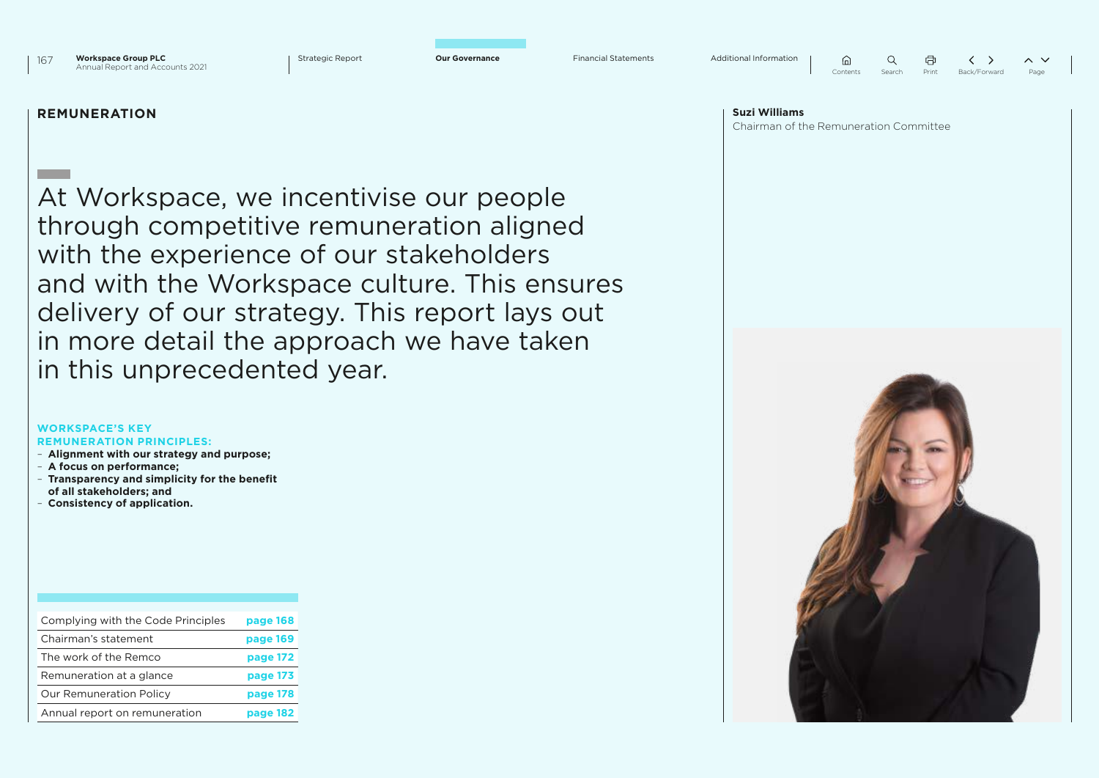

|          |        | ā.    |              |      |
|----------|--------|-------|--------------|------|
| Contents | Search | Print | Back/Forward | Page |

### **REMUNERATION**

At Workspace, we incentivise our people through competitive remuneration aligned with the experience of our stakeholders and with the Workspace culture. This ensures delivery of our strategy. This report lays out in more detail the approach we have taken in this unprecedented year.

#### **WORKSPACE'S KEY REMUNERATION PRINCIPLES:**

- **Alignment with our strategy and purpose;**
- **A focus on performance;**
- **Transparency and simplicity for the benefit of all stakeholders; and**
- **Consistency of application.**

| Complying with the Code Principles | page 168 |
|------------------------------------|----------|
| Chairman's statement               | page 169 |
| The work of the Remco              | page 172 |
| Remuneration at a glance           | page 173 |
| <b>Our Remuneration Policy</b>     | page 178 |
| Annual report on remuneration      | page 182 |

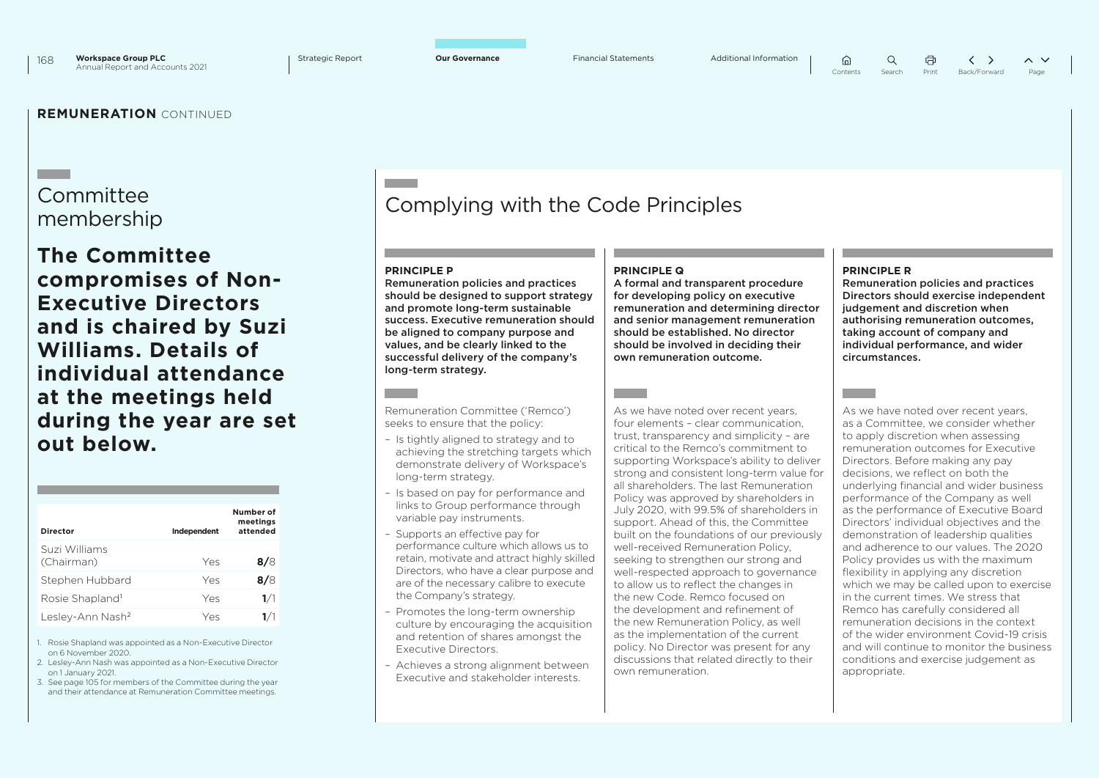# **Committee**

## **The Committee compromises of Non-Executive Directors and is chaired by Suzi Williams. Details of individual attendance at the meetings held during the year are set out below.**

| Director                     | Independent | Number of<br>meetings<br>attended |
|------------------------------|-------------|-----------------------------------|
| Suzi Williams<br>(Chairman)  | Yes         | 8/8                               |
| Stephen Hubbard              | Yes         | 8/8                               |
| Rosie Shapland <sup>1</sup>  | Yes         | 1/1                               |
| Lesley-Ann Nash <sup>2</sup> | Yes         | 1/1                               |

1. Rosie Shapland was appointed as a Non-Executive Director on 6 November 2020.

- 2. Lesley-Ann Nash was appointed as a Non-Executive Director on 1 January 2021.
- 3. See page 105 for members of the Committee during the year and their attendance at Remuneration Committee meetings.

# membership Complying with the Code Principles

### **PRINCIPLE P**

Remuneration policies and practices should be designed to support strategy and promote long-term sustainable success. Executive remuneration should be aligned to company purpose and values, and be clearly linked to the successful delivery of the company's long-term strategy.

Remuneration Committee ('Remco') seeks to ensure that the policy:

- Is tightly aligned to strategy and to achieving the stretching targets which demonstrate delivery of Workspace's long-term strategy.
- Is based on pay for performance and links to Group performance through variable pay instruments.
- Supports an effective pay for performance culture which allows us to retain, motivate and attract highly skilled Directors, who have a clear purpose and are of the necessary calibre to execute the Company's strategy.
- Promotes the long-term ownership culture by encouraging the acquisition and retention of shares amongst the Executive Directors.
- Achieves a strong alignment between Executive and stakeholder interests.

### **PRINCIPLE Q**

A formal and transparent procedure for developing policy on executive remuneration and determining director and senior management remuneration should be established. No director should be involved in deciding their own remuneration outcome.

As we have noted over recent years. four elements – clear communication, trust, transparency and simplicity – are critical to the Remco's commitment to supporting Workspace's ability to deliver strong and consistent long-term value for all shareholders. The last Remuneration Policy was approved by shareholders in July 2020, with 99.5% of shareholders in support. Ahead of this, the Committee built on the foundations of our previously well-received Remuneration Policy, seeking to strengthen our strong and well-respected approach to governance to allow us to reflect the changes in the new Code. Remco focused on the development and refinement of the new Remuneration Policy, as well as the implementation of the current policy. No Director was present for any discussions that related directly to their own remuneration.

### **PRINCIPLE R**

 $\bigcap$ 

Remuneration policies and practices Directors should exercise independent judgement and discretion when authorising remuneration outcomes, taking account of company and individual performance, and wider circumstances.

As we have noted over recent years, as a Committee, we consider whether to apply discretion when assessing remuneration outcomes for Executive Directors. Before making any pay decisions, we reflect on both the underlying financial and wider business performance of the Company as well as the performance of Executive Board Directors' individual objectives and the demonstration of leadership qualities and adherence to our values. The 2020 Policy provides us with the maximum flexibility in applying any discretion which we may be called upon to exercise in the current times. We stress that Remco has carefully considered all remuneration decisions in the context of the wider environment Covid-19 crisis and will continue to monitor the business conditions and exercise judgement as appropriate.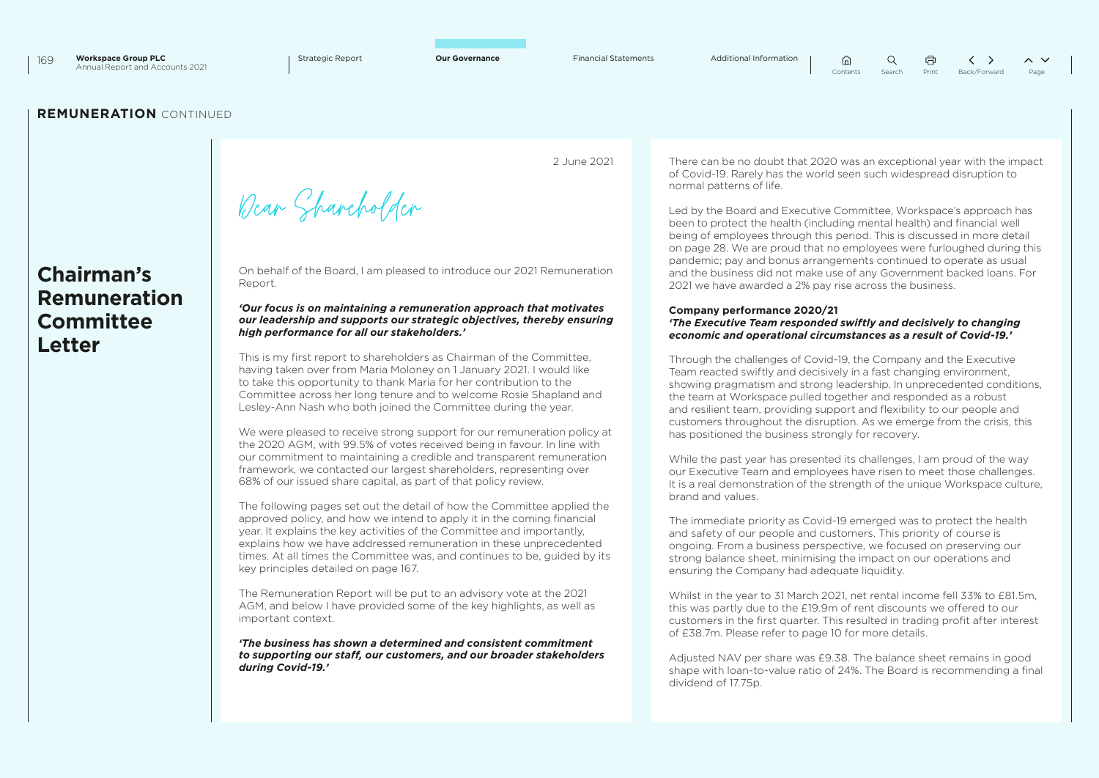**Chairman's Remuneration Committee Letter**

2 June 2021

Dear Shareholder

On behalf of the Board, I am pleased to introduce our 2021 Remuneration Report.

#### *'Our focus is on maintaining a remuneration approach that motivates our leadership and supports our strategic objectives, thereby ensuring high performance for all our stakeholders.'*

This is my first report to shareholders as Chairman of the Committee, having taken over from Maria Moloney on 1 January 2021. I would like to take this opportunity to thank Maria for her contribution to the Committee across her long tenure and to welcome Rosie Shapland and Lesley-Ann Nash who both joined the Committee during the year.

We were pleased to receive strong support for our remuneration policy at the 2020 AGM, with 99.5% of votes received being in favour. In line with our commitment to maintaining a credible and transparent remuneration framework, we contacted our largest shareholders, representing over 68% of our issued share capital, as part of that policy review.

The following pages set out the detail of how the Committee applied the approved policy, and how we intend to apply it in the coming financial year. It explains the key activities of the Committee and importantly, explains how we have addressed remuneration in these unprecedented times. At all times the Committee was, and continues to be, guided by its key principles detailed on page 167.

The Remuneration Report will be put to an advisory vote at the 2021 AGM, and below I have provided some of the key highlights, as well as important context.

*'The business has shown a determined and consistent commitment to supporting our staff, our customers, and our broader stakeholders during Covid-19.'*

There can be no doubt that 2020 was an exceptional year with the impact of Covid-19. Rarely has the world seen such widespread disruption to normal patterns of life.

 $\hat{a}$ 

 $\Omega$ 

Led by the Board and Executive Committee, Workspace's approach has been to protect the health (including mental health) and financial well being of employees through this period. This is discussed in more detail on page 28. We are proud that no employees were furloughed during this pandemic; pay and bonus arrangements continued to operate as usual and the business did not make use of any Government backed loans. For 2021 we have awarded a 2% pay rise across the business.

### **Company performance 2020/21** *'The Executive Team responded swiftly and decisively to changing economic and operational circumstances as a result of Covid-19.'*

Through the challenges of Covid-19, the Company and the Executive Team reacted swiftly and decisively in a fast changing environment, showing pragmatism and strong leadership. In unprecedented conditions, the team at Workspace pulled together and responded as a robust and resilient team, providing support and flexibility to our people and customers throughout the disruption. As we emerge from the crisis, this has positioned the business strongly for recovery.

While the past year has presented its challenges, I am proud of the way our Executive Team and employees have risen to meet those challenges. It is a real demonstration of the strength of the unique Workspace culture, brand and values.

The immediate priority as Covid-19 emerged was to protect the health and safety of our people and customers. This priority of course is ongoing. From a business perspective, we focused on preserving our strong balance sheet, minimising the impact on our operations and ensuring the Company had adequate liquidity.

Whilst in the year to 31 March 2021, net rental income fell 33% to £81.5m. this was partly due to the £19.9m of rent discounts we offered to our customers in the first quarter. This resulted in trading profit after interest of £38.7m. Please refer to page 10 for more details.

Adjusted NAV per share was £9.38. The balance sheet remains in good shape with loan-to-value ratio of 24%. The Board is recommending a final dividend of 17.75p.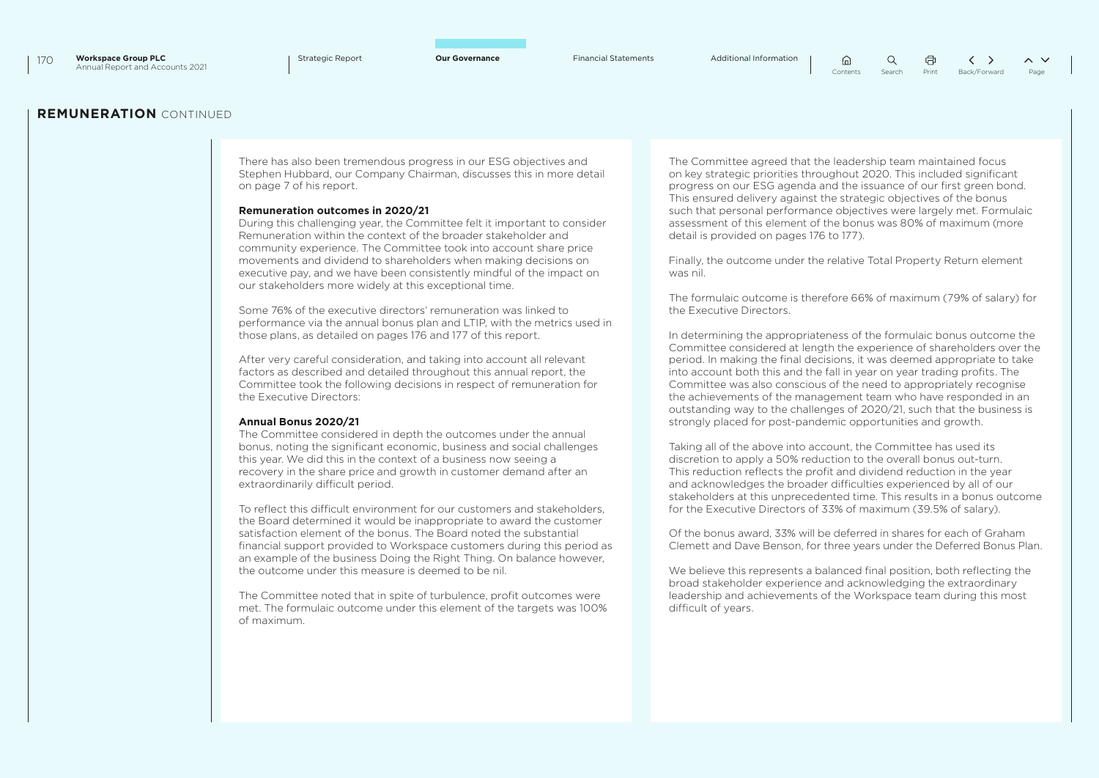$\Omega$ ⋒ Contents Search Print Back/Forward Page

### **REMUNERATION** CONTINUED

There has also been tremendous progress in our ESG objectives and Stephen Hubbard, our Company Chairman, discusses this in more detail on page 7 of his report.

### **Remuneration outcomes in 2020/21**

During this challenging year, the Committee felt it important to consider Remuneration within the context of the broader stakeholder and community experience. The Committee took into account share price movements and dividend to shareholders when making decisions on executive pay, and we have been consistently mindful of the impact on our stakeholders more widely at this exceptional time.

Some 76% of the executive directors' remuneration was linked to performance via the annual bonus plan and LTIP, with the metrics used in those plans, as detailed on pages 176 and 177 of this report.

After very careful consideration, and taking into account all relevant factors as described and detailed throughout this annual report, the Committee took the following decisions in respect of remuneration for the Executive Directors:

#### **Annual Bonus 2020/21**

The Committee considered in depth the outcomes under the annual bonus, noting the significant economic, business and social challenges this year. We did this in the context of a business now seeing a recovery in the share price and growth in customer demand after an extraordinarily difficult period.

To reflect this difficult environment for our customers and stakeholders, the Board determined it would be inappropriate to award the customer satisfaction element of the bonus. The Board noted the substantial financial support provided to Workspace customers during this period as an example of the business Doing the Right Thing. On balance however, the outcome under this measure is deemed to be nil.

The Committee noted that in spite of turbulence, profit outcomes were met. The formulaic outcome under this element of the targets was 100% of maximum.

The Committee agreed that the leadership team maintained focus on key strategic priorities throughout 2020. This included significant progress on our ESG agenda and the issuance of our first green bond. This ensured delivery against the strategic objectives of the bonus such that personal performance objectives were largely met. Formulaic assessment of this element of the bonus was 80% of maximum (more detail is provided on pages 176 to 177).

Finally, the outcome under the relative Total Property Return element was nil.

The formulaic outcome is therefore 66% of maximum (79% of salary) for the Executive Directors.

In determining the appropriateness of the formulaic bonus outcome the Committee considered at length the experience of shareholders over the period. In making the final decisions, it was deemed appropriate to take into account both this and the fall in year on year trading profits. The Committee was also conscious of the need to appropriately recognise the achievements of the management team who have responded in an outstanding way to the challenges of 2020/21, such that the business is strongly placed for post-pandemic opportunities and growth.

Taking all of the above into account, the Committee has used its discretion to apply a 50% reduction to the overall bonus out-turn. This reduction reflects the profit and dividend reduction in the year and acknowledges the broader difficulties experienced by all of our stakeholders at this unprecedented time. This results in a bonus outcome for the Executive Directors of 33% of maximum (39.5% of salary).

Of the bonus award, 33% will be deferred in shares for each of Graham Clemett and Dave Benson, for three years under the Deferred Bonus Plan.

We believe this represents a balanced final position, both reflecting the broad stakeholder experience and acknowledging the extraordinary leadership and achievements of the Workspace team during this most difficult of years.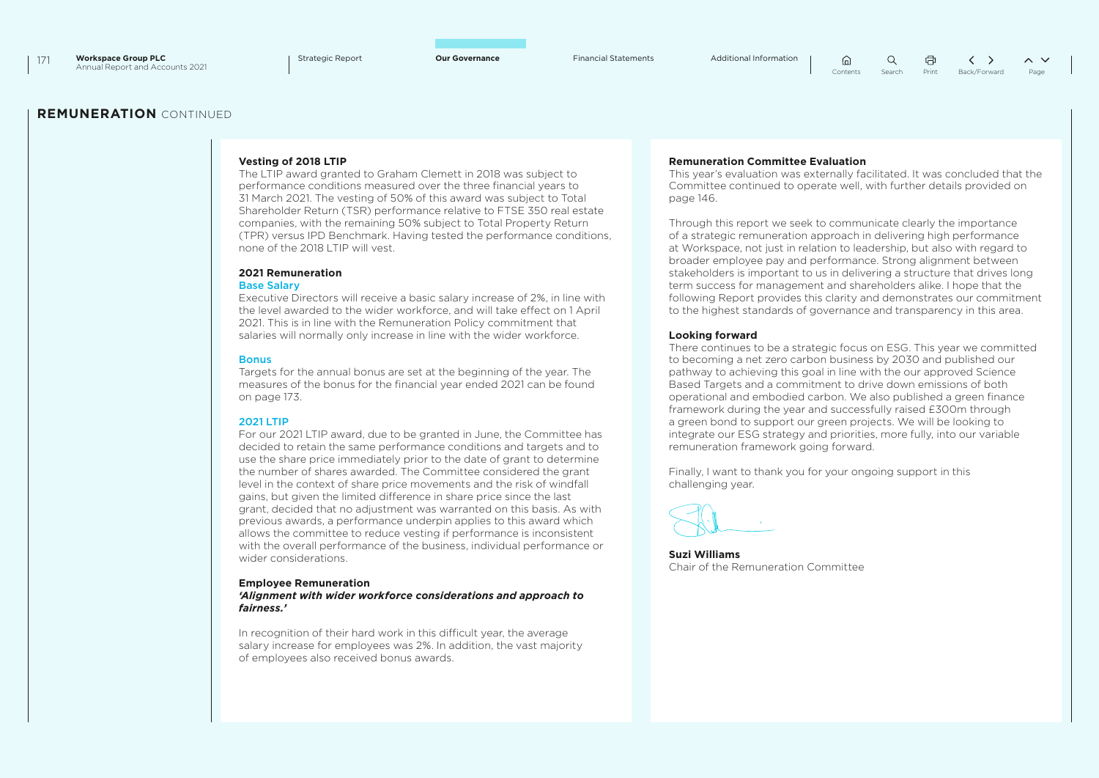$\bigcap$  $\Omega$ 量 Contents Search Print Back/Forward Page

### **REMUNERATION** CONTINUED

### **Vesting of 2018 LTIP**

The LTIP award granted to Graham Clemett in 2018 was subject to performance conditions measured over the three financial years to 31 March 2021. The vesting of 50% of this award was subject to Total Shareholder Return (TSR) performance relative to FTSE 350 real estate companies, with the remaining 50% subject to Total Property Return (TPR) versus IPD Benchmark. Having tested the performance conditions, none of the 2018 LTIP will vest.

### **2021 Remuneration**

#### Base Salary

Executive Directors will receive a basic salary increase of 2%, in line with the level awarded to the wider workforce, and will take effect on 1 April 2021. This is in line with the Remuneration Policy commitment that salaries will normally only increase in line with the wider workforce.

#### **Bonus**

Targets for the annual bonus are set at the beginning of the year. The measures of the bonus for the financial year ended 2021 can be found on page 173.

#### 2021 LTIP

For our 2021 LTIP award, due to be granted in June, the Committee has decided to retain the same performance conditions and targets and to use the share price immediately prior to the date of grant to determine the number of shares awarded. The Committee considered the grant level in the context of share price movements and the risk of windfall gains, but given the limited difference in share price since the last grant, decided that no adjustment was warranted on this basis. As with previous awards, a performance underpin applies to this award which allows the committee to reduce vesting if performance is inconsistent with the overall performance of the business, individual performance or wider considerations.

#### **Employee Remuneration**

*'Alignment with wider workforce considerations and approach to fairness.'*

In recognition of their hard work in this difficult year, the average salary increase for employees was 2%. In addition, the vast majority of employees also received bonus awards.

#### **Remuneration Committee Evaluation**

This year's evaluation was externally facilitated. It was concluded that the Committee continued to operate well, with further details provided on page 146.

Through this report we seek to communicate clearly the importance of a strategic remuneration approach in delivering high performance at Workspace, not just in relation to leadership, but also with regard to broader employee pay and performance. Strong alignment between stakeholders is important to us in delivering a structure that drives long term success for management and shareholders alike. I hope that the following Report provides this clarity and demonstrates our commitment to the highest standards of governance and transparency in this area.

#### **Looking forward**

There continues to be a strategic focus on ESG. This year we committed to becoming a net zero carbon business by 2030 and published our pathway to achieving this goal in line with the our approved Science Based Targets and a commitment to drive down emissions of both operational and embodied carbon. We also published a green finance framework during the year and successfully raised £300m through a green bond to support our green projects. We will be looking to integrate our ESG strategy and priorities, more fully, into our variable remuneration framework going forward.

Finally, I want to thank you for your ongoing support in this challenging year.

**Suzi Williams** Chair of the Remuneration Committee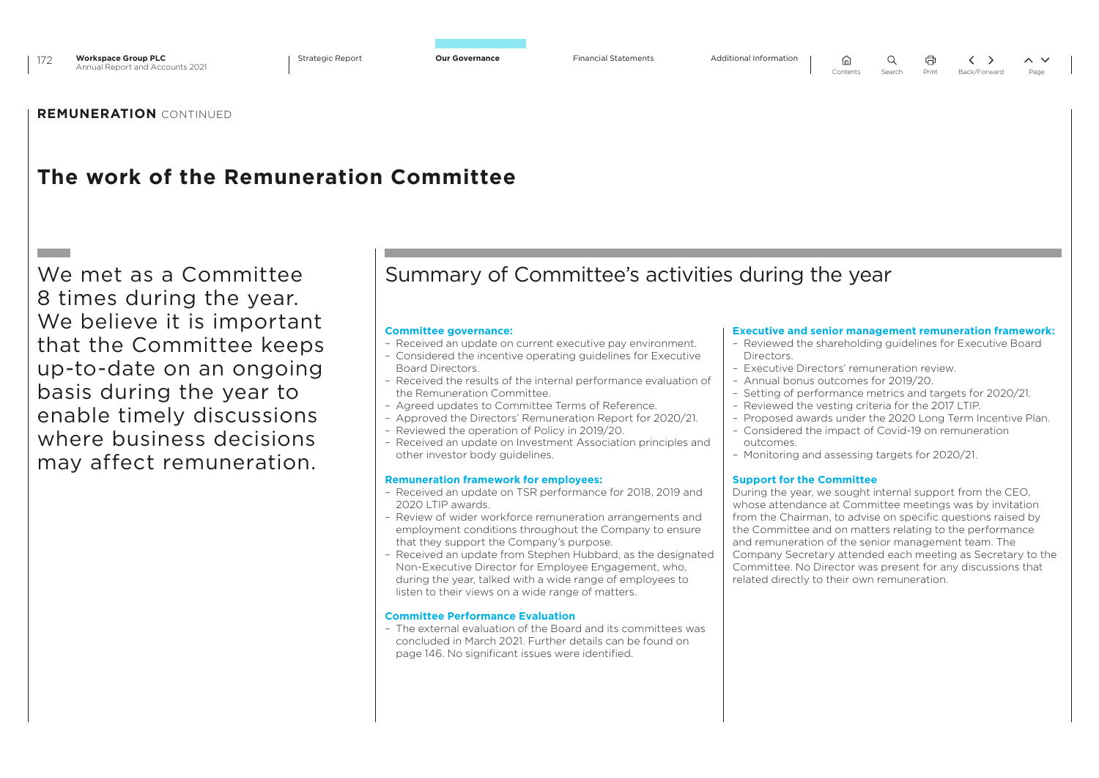

## **The work of the Remuneration Committee**

We met as a Committee 8 times during the year. We believe it is important that the Committee keeps up-to-date on an ongoing basis during the year to enable timely discussions where business decisions may affect remuneration.

## Summary of Committee's activities during the year

### **Committee governance:**

- Received an update on current executive pay environment.
- Considered the incentive operating guidelines for Executive Board Directors.
- Received the results of the internal performance evaluation of the Remuneration Committee.
- Agreed updates to Committee Terms of Reference.
- Approved the Directors' Remuneration Report for 2020/21.
- Reviewed the operation of Policy in 2019/20.
- Received an update on Investment Association principles and other investor body guidelines.

### **Remuneration framework for employees:**

- Received an update on TSR performance for 2018, 2019 and 2020 LTIP awards.
- Review of wider workforce remuneration arrangements and employment conditions throughout the Company to ensure that they support the Company's purpose.
- Received an update from Stephen Hubbard, as the designated Non-Executive Director for Employee Engagement, who, during the year, talked with a wide range of employees to listen to their views on a wide range of matters.

### **Committee Performance Evaluation**

– The external evaluation of the Board and its committees was concluded in March 2021. Further details can be found on page 146. No significant issues were identified.

### **Executive and senior management remuneration framework:**

- Reviewed the shareholding guidelines for Executive Board **Directors**
- Executive Directors' remuneration review.
- Annual bonus outcomes for 2019/20.
- Setting of performance metrics and targets for 2020/21. – Reviewed the vesting criteria for the 2017 LTIP.
- Proposed awards under the 2020 Long Term Incentive Plan.
- Considered the impact of Covid-19 on remuneration outcomes.
- Monitoring and assessing targets for 2020/21.

### **Support for the Committee**

During the year, we sought internal support from the CEO, whose attendance at Committee meetings was by invitation from the Chairman, to advise on specific questions raised by the Committee and on matters relating to the performance and remuneration of the senior management team. The Company Secretary attended each meeting as Secretary to the Committee. No Director was present for any discussions that related directly to their own remuneration.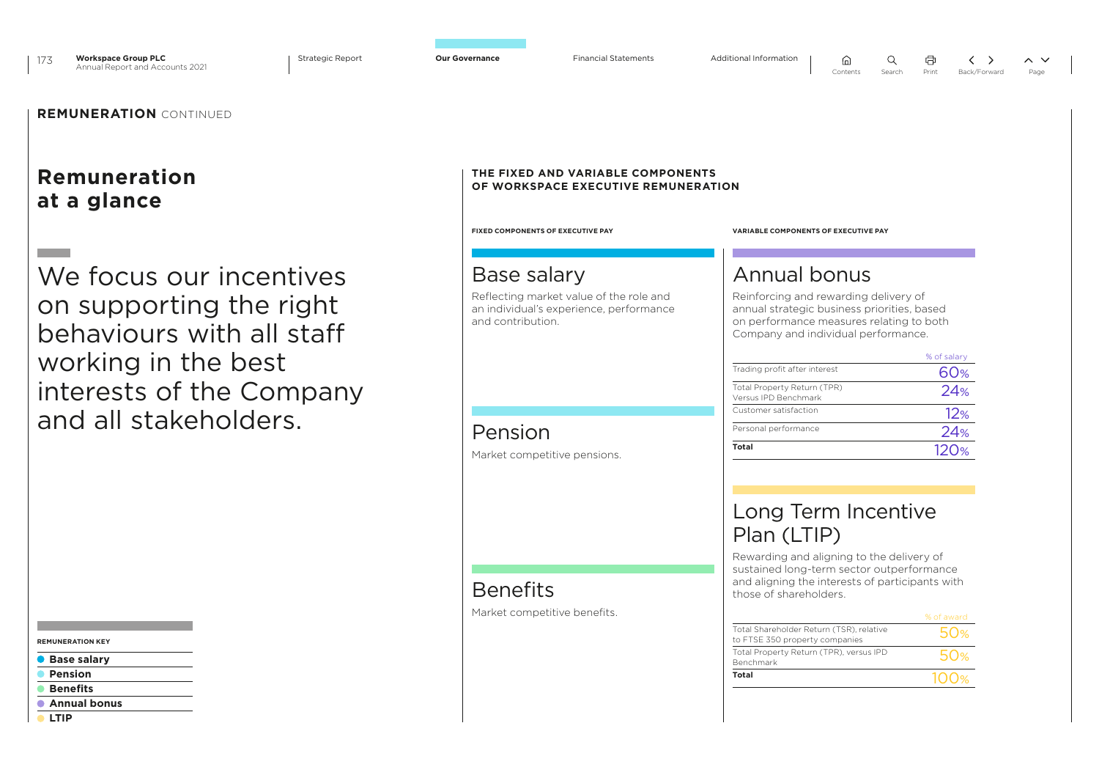



## **Remuneration at a glance**

We focus our incentives on supporting the right behaviours with all staff working in the best interests of the Company and all stakeholders.

#### **REMUNERATION KEY**

- **Base salary**
- Ċ  **Pension**
- **Benefits**
- **Annual bonus**
- **LTIP**

### **THE FIXED AND VARIABLE COMPONENTS OF WORKSPACE EXECUTIVE REMUNERATION**

## Base salary

Reflecting market value of the role and an individual's experience, performance and contribution.

## Pension

Market competitive pensions.

## **Benefits** Market competitive benefits.

#### **FIXED COMPONENTS OF EXECUTIVE PAY VARIABLE COMPONENTS OF EXECUTIVE PAY**

## Annual bonus

Reinforcing and rewarding delivery of annual strategic business priorities, based on performance measures relating to both Company and individual performance.

 $\widehat{m}$ 

|                                                     | % of salary |
|-----------------------------------------------------|-------------|
| Trading profit after interest                       | 60%         |
| Total Property Return (TPR)<br>Versus IPD Benchmark | 24%         |
| Customer satisfaction                               | 12%         |
| Personal performance                                | 24%         |
| Total                                               | 120%        |

## Long Term Incentive Plan (LTIP)

Rewarding and aligning to the delivery of sustained long-term sector outperformance and aligning the interests of participants with those of shareholders.

| Total                                                                      |                 |
|----------------------------------------------------------------------------|-----------------|
| Total Property Return (TPR), versus IPD<br>Benchmark                       | 50%             |
| Total Shareholder Return (TSR), relative<br>to FTSE 350 property companies | 50 <sub>%</sub> |
|                                                                            | % of award      |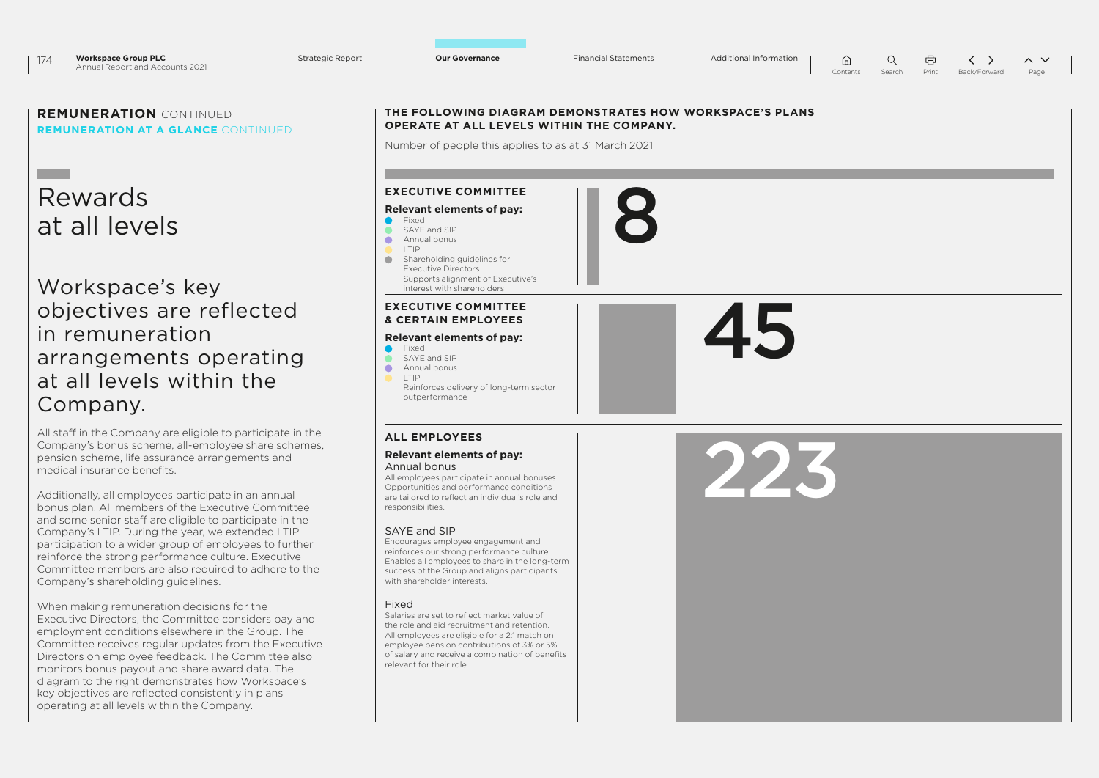8

 $\cap$  $\alpha$ 量  $\langle \rangle$  $\sim$   $\vee$ Contents Search Print Back/Forward Page

## **REMUNERATION** CONTINUED **REMUNERATION AT A GLANCE** CONTINUED

## Rewards at all levels

Workspace's key objectives are reflected in remuneration arrangements operating at all levels within the Company.

All staff in the Company are eligible to participate in the Company's bonus scheme, all-employee share schemes, pension scheme, life assurance arrangements and medical insurance benefits.

Additionally, all employees participate in an annual bonus plan. All members of the Executive Committee and some senior staff are eligible to participate in the Company's LTIP. During the year, we extended LTIP participation to a wider group of employees to further reinforce the strong performance culture. Executive Committee members are also required to adhere to the Company's shareholding guidelines.

When making remuneration decisions for the Executive Directors, the Committee considers pay and employment conditions elsewhere in the Group. The Committee receives regular updates from the Executive Directors on employee feedback. The Committee also monitors bonus payout and share award data. The diagram to the right demonstrates how Workspace's key objectives are reflected consistently in plans operating at all levels within the Company.

### **THE FOLLOWING DIAGRAM DEMONSTRATES HOW WORKSPACE'S PLANS OPERATE AT ALL LEVELS WITHIN THE COMPANY.**

Number of people this applies to as at 31 March 2021

## **EXECUTIVE COMMITTEE**

#### **Relevant elements of pay:**

- **C** Fixed SAYE and SIP
	- Annual bonus
	- LTIP

 $\bullet$ 

 $\bullet$ 

**Shareholding guidelines for** Executive Directors Supports alignment of Executive's interest with shareholders

### **EXECUTIVE COMMITTEE & CERTAIN EMPLOYEES**

## **Relevant elements of pay:**

- Fixed
- SAYE and SIP Annual bonus
- LTIP
- Reinforces delivery of long-term sector outperformance

### **ALL EMPLOYEES**

## **Relevant elements of pay:**

#### Annual bonus

All employees participate in annual bonuses. Opportunities and performance conditions are tailored to reflect an individual's role and responsibilities.

### SAYE and SIP

Encourages employee engagement and reinforces our strong performance culture. Enables all employees to share in the long-term success of the Group and aligns participants with shareholder interests.

### Fixed

Salaries are set to reflect market value of the role and aid recruitment and retention. All employees are eligible for a 2:1 match on employee pension contributions of 3% or 5% of salary and receive a combination of benefits relevant for their role.

223

45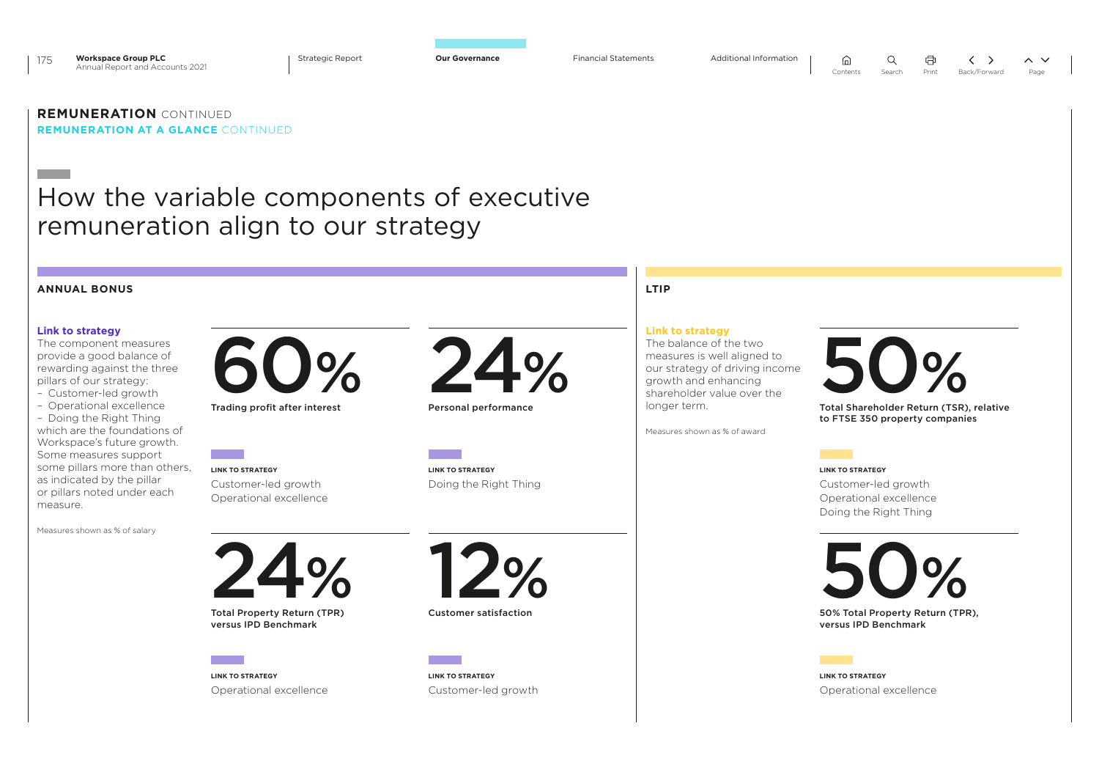

ি∩

 $\Omega$ 

### **REMUNERATION** CONTINUED **REMUNERATION AT A GLANCE** CONTINUED

## How the variable components of executive remuneration align to our strategy

#### **ANNUAL BONUS LTIP LINK TO STRATEGY** Operational excellence **LINK TO STRATEGY** Operational excellence **LINK TO STRATEGY** Customer-led growth Operational excellence **LINK TO STRATEGY** Customer-led growth Operational excellence Doing the Right Thing **LINK TO STRATEGY** Customer-led growth **LINK TO STRATEGY** Doing the Right Thing **Link to strategy** The component measures provide a good balance of rewarding against the three pillars of our strategy: – Customer-led growth – Operational excellence – Doing the Right Thing which are the foundations of Workspace's future growth. Some measures support some pillars more than others, as indicated by the pillar or pillars noted under each measure. Measures shown as % of salary **Link to strategy** The balance of the two measures is well aligned to our strategy of driving income growth and enhancing shareholder value over the longer term. Measures shown as % of award  $24$ Total Property Return (TPR) % versus IPD Benchmark 50 50% Total Property Return (TPR), % versus IPD Benchmark 60 Trading profit after interest **Strategy**<br>
The balance of the two<br>
The balance of the two<br>
measures is well aligned to<br>
our strategy of driving income<br>
shareholder value over the<br>
longer term. Total Shareholder Return (TSR), relative % to FTSE 350 property companies **12** Customer satisfaction % 24 Personal performance %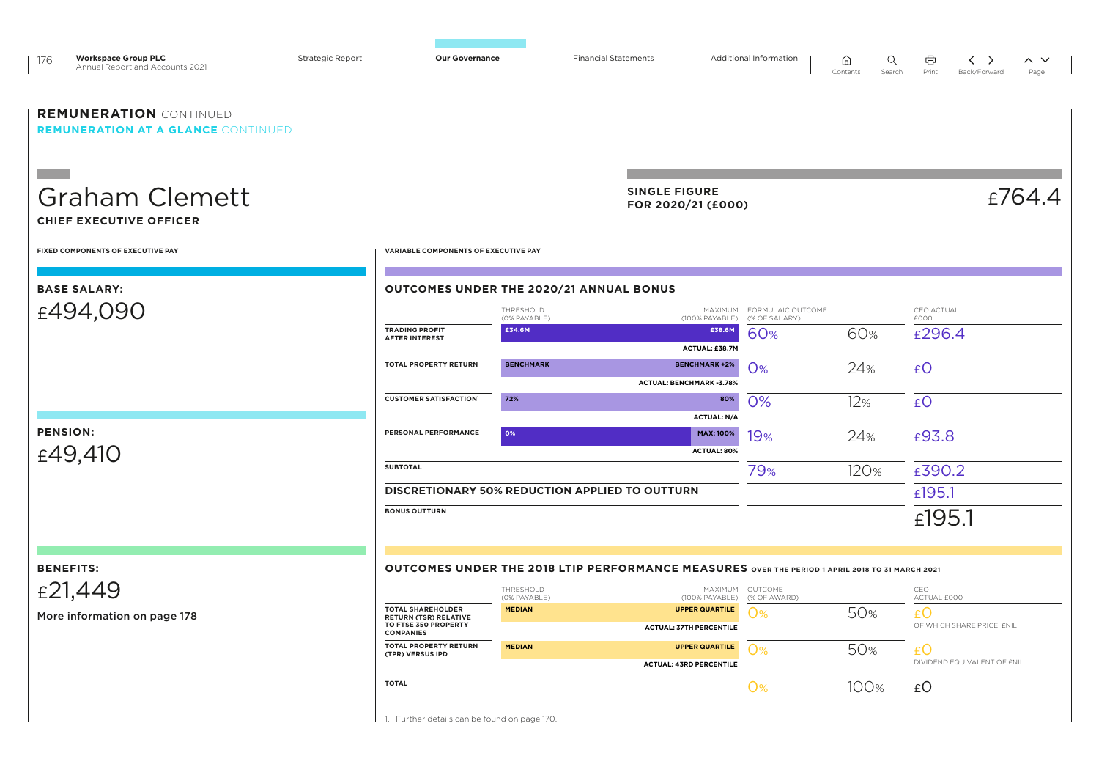| <b>Workspace Group PLC</b><br>176<br>Annual Report and Accounts 2021       | <b>Strategic Report</b> | <b>Our Governance</b>                                                    |                                                       | <b>Financial Statements</b>                                                                     | Additional Information             | Q<br>⋒<br>Contents<br>Search | a<br>くゝ<br>Print<br>Back/Forward    | $\sim$ $\sim$<br>Page |
|----------------------------------------------------------------------------|-------------------------|--------------------------------------------------------------------------|-------------------------------------------------------|-------------------------------------------------------------------------------------------------|------------------------------------|------------------------------|-------------------------------------|-----------------------|
| <b>REMUNERATION CONTINUED</b><br><b>REMUNERATION AT A GLANCE CONTINUED</b> |                         |                                                                          |                                                       |                                                                                                 |                                    |                              |                                     |                       |
| <b>Graham Clemett</b><br><b>CHIEF EXECUTIVE OFFICER</b>                    |                         |                                                                          |                                                       | <b>SINGLE FIGURE</b><br>FOR 2020/21 (£000)                                                      |                                    |                              |                                     | E764.4                |
| FIXED COMPONENTS OF EXECUTIVE PAY                                          |                         | VARIABLE COMPONENTS OF EXECUTIVE PAY                                     |                                                       |                                                                                                 |                                    |                              |                                     |                       |
| <b>BASE SALARY:</b>                                                        |                         |                                                                          | OUTCOMES UNDER THE 2020/21 ANNUAL BONUS               |                                                                                                 |                                    |                              |                                     |                       |
| £494,090                                                                   |                         |                                                                          | THRESHOLD<br>(0% PAYABLE)                             | MAXIMUM<br>(100% PAYABLE)                                                                       | FORMULAIC OUTCOME<br>(% OF SALARY) |                              | CEO ACTUAL<br>£000                  |                       |
|                                                                            |                         | <b>TRADING PROFIT</b><br><b>AFTER INTEREST</b>                           | £34.6M                                                | £38.6M<br>ACTUAL: £38.7M                                                                        | 60%                                | 60%                          | £296.4                              |                       |
|                                                                            |                         | TOTAL PROPERTY RETURN                                                    | <b>BENCHMARK</b>                                      | <b>BENCHMARK +2%</b>                                                                            | <b>O%</b>                          | 24%                          | £O                                  |                       |
|                                                                            |                         |                                                                          |                                                       | <b>ACTUAL: BENCHMARK -3.78%</b>                                                                 |                                    |                              |                                     |                       |
|                                                                            |                         | <b>CUSTOMER SATISFACTION'</b>                                            | 72%                                                   | 80%                                                                                             | 0%                                 | 12%                          | £O                                  |                       |
| <b>PENSION:</b>                                                            |                         | PERSONAL PERFORMANCE                                                     | 0%                                                    | <b>ACTUAL: N/A</b><br><b>MAX: 100%</b>                                                          |                                    |                              |                                     |                       |
| £49,410                                                                    |                         |                                                                          |                                                       | ACTUAL: 80%                                                                                     | 19%                                | 24%                          | £93.8                               |                       |
|                                                                            |                         | <b>SUBTOTAL</b>                                                          |                                                       |                                                                                                 | 79%                                | 120%                         | £390.2                              |                       |
|                                                                            |                         |                                                                          | <b>DISCRETIONARY 50% REDUCTION APPLIED TO OUTTURN</b> |                                                                                                 |                                    |                              | £195.1                              |                       |
|                                                                            |                         | <b>BONUS OUTTURN</b>                                                     |                                                       |                                                                                                 |                                    |                              | £195.1                              |                       |
| <b>BENEFITS:</b>                                                           |                         |                                                                          |                                                       | OUTCOMES UNDER THE 2018 LTIP PERFORMANCE MEASURES OVER THE PERIOD 1 APRIL 2018 TO 31 MARCH 2021 |                                    |                              |                                     |                       |
| £21,449                                                                    |                         |                                                                          | THRESHOLD                                             |                                                                                                 | MAXIMUM OUTCOME                    |                              | CEO                                 |                       |
|                                                                            |                         | <b>TOTAL SHAREHOLDER</b>                                                 | (0% PAYABLE)<br><b>MEDIAN</b>                         | (100% PAYABLE)<br><b>UPPER QUARTILE</b>                                                         | (% OF AWARD)                       |                              | ACTUAL £000                         |                       |
| More information on page 178                                               |                         | <b>RETURN (TSR) RELATIVE</b><br>TO FTSE 350 PROPERTY<br><b>COMPANIES</b> |                                                       | <b>ACTUAL: 37TH PERCENTILE</b>                                                                  | <b>O%</b>                          | 50%                          | $E$ O<br>OF WHICH SHARE PRICE: £NIL |                       |
|                                                                            |                         | TOTAL PROPERTY RETURN<br>(TPR) VERSUS IPD                                | <b>MEDIAN</b>                                         | <b>UPPER QUARTILE</b>                                                                           | <b>O%</b>                          | 50%                          | £Ο                                  |                       |
|                                                                            |                         |                                                                          |                                                       | <b>ACTUAL: 43RD PERCENTILE</b>                                                                  |                                    |                              | DIVIDEND EQUIVALENT OF £NIL         |                       |
|                                                                            |                         | <b>TOTAL</b>                                                             |                                                       |                                                                                                 | <b>O%</b>                          | 100%                         | £O                                  |                       |

1. Further details can be found on page 170.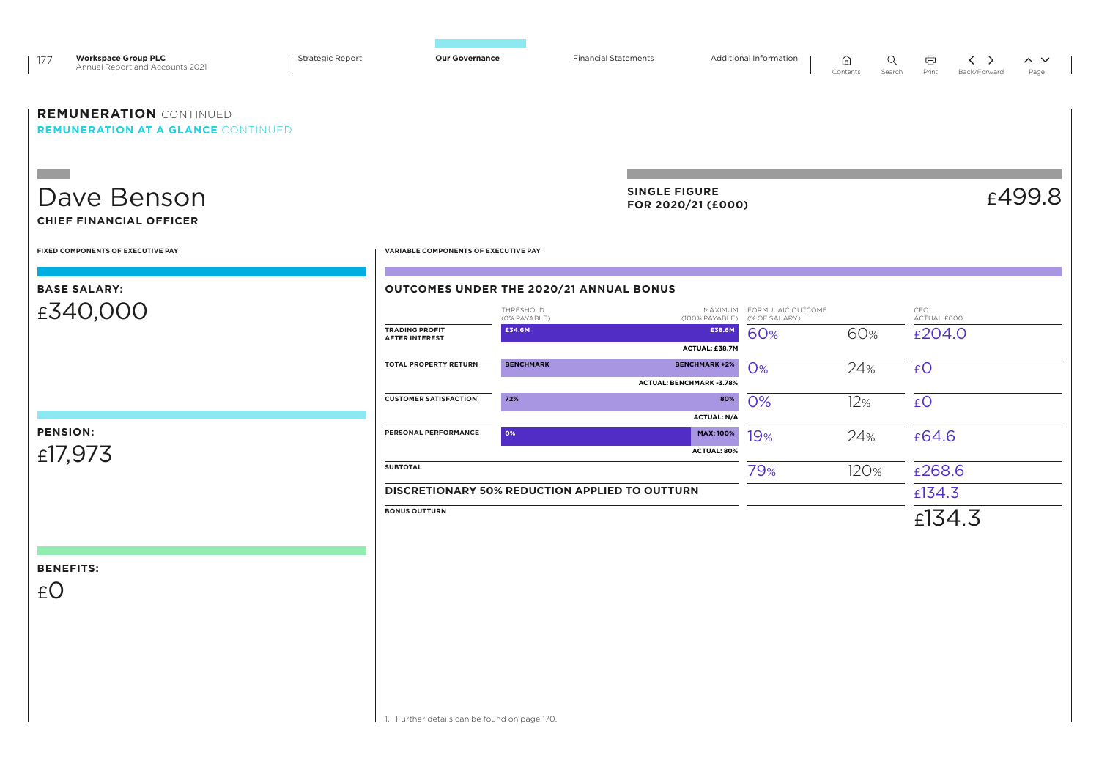| <b>Workspace Group PLC</b><br>177<br>Annual Report and Accounts 2021       | Strategic Report | <b>Our Governance</b>                          |                           | <b>Financial Statements</b>                    |                                                  | Additional Information                     | Q<br>⋒<br>Contents<br>Search | Ö<br>Print         | くゝ<br>Back/Forward | $\sim$ $\sim$<br>Page |
|----------------------------------------------------------------------------|------------------|------------------------------------------------|---------------------------|------------------------------------------------|--------------------------------------------------|--------------------------------------------|------------------------------|--------------------|--------------------|-----------------------|
| <b>REMUNERATION CONTINUED</b><br><b>REMUNERATION AT A GLANCE CONTINUED</b> |                  |                                                |                           |                                                |                                                  |                                            |                              |                    |                    |                       |
| <b>The Company</b><br>Dave Benson                                          |                  |                                                |                           | <b>SINGLE FIGURE</b>                           | FOR 2020/21 (£000)                               |                                            |                              |                    |                    | £499.8                |
| <b>CHIEF FINANCIAL OFFICER</b><br>FIXED COMPONENTS OF EXECUTIVE PAY        |                  | VARIABLE COMPONENTS OF EXECUTIVE PAY           |                           |                                                |                                                  |                                            |                              |                    |                    |                       |
| <b>BASE SALARY:</b>                                                        |                  | OUTCOMES UNDER THE 2020/21 ANNUAL BONUS        |                           |                                                |                                                  |                                            |                              |                    |                    |                       |
| £340,000                                                                   |                  |                                                | THRESHOLD<br>(0% PAYABLE) |                                                | (100% PAYABLE)                                   | MAXIMUM FORMULAIC OUTCOME<br>(% OF SALARY) |                              | CFO<br>ACTUAL £000 |                    |                       |
|                                                                            |                  | <b>TRADING PROFIT</b><br><b>AFTER INTEREST</b> | £34.6M                    |                                                | £38.6M<br>ACTUAL: £38.7M                         | 60%                                        | 60%                          | £204.0             |                    |                       |
|                                                                            |                  | <b>TOTAL PROPERTY RETURN</b>                   | <b>BENCHMARK</b>          |                                                | <b>BENCHMARK +2%</b><br>ACTUAL: BENCHMARK -3.78% | <b>O%</b>                                  | 24%                          | £0                 |                    |                       |
|                                                                            |                  | <b>CUSTOMER SATISFACTION'</b>                  | 72%                       |                                                | 80%<br><b>ACTUAL: N/A</b>                        | 0%                                         | 12%                          | £O                 |                    |                       |
| <b>PENSION:</b><br>£17,973                                                 |                  | PERSONAL PERFORMANCE                           | 0%                        |                                                | <b>MAX: 100%</b><br><b>ACTUAL: 80%</b>           | 19%                                        | 24%                          | £64.6              |                    |                       |
|                                                                            |                  | <b>SUBTOTAL</b>                                |                           |                                                |                                                  | 79%                                        | 120%                         | £268.6             |                    |                       |
|                                                                            |                  |                                                |                           | DISCRETIONARY 50% REDUCTION APPLIED TO OUTTURN |                                                  |                                            |                              | E134.3             |                    |                       |
|                                                                            |                  | <b>BONUS OUTTURN</b>                           |                           |                                                |                                                  |                                            |                              | £134.3             |                    |                       |
|                                                                            |                  |                                                |                           |                                                |                                                  |                                            |                              |                    |                    |                       |
| <b>BENEFITS:</b>                                                           |                  |                                                |                           |                                                |                                                  |                                            |                              |                    |                    |                       |
| £O                                                                         |                  |                                                |                           |                                                |                                                  |                                            |                              |                    |                    |                       |
|                                                                            |                  |                                                |                           |                                                |                                                  |                                            |                              |                    |                    |                       |
|                                                                            |                  |                                                |                           |                                                |                                                  |                                            |                              |                    |                    |                       |
|                                                                            |                  |                                                |                           |                                                |                                                  |                                            |                              |                    |                    |                       |
|                                                                            |                  |                                                |                           |                                                |                                                  |                                            |                              |                    |                    |                       |
|                                                                            |                  |                                                |                           |                                                |                                                  |                                            |                              |                    |                    |                       |
|                                                                            |                  | 1. Further details can be found on page 170.   |                           |                                                |                                                  |                                            |                              |                    |                    |                       |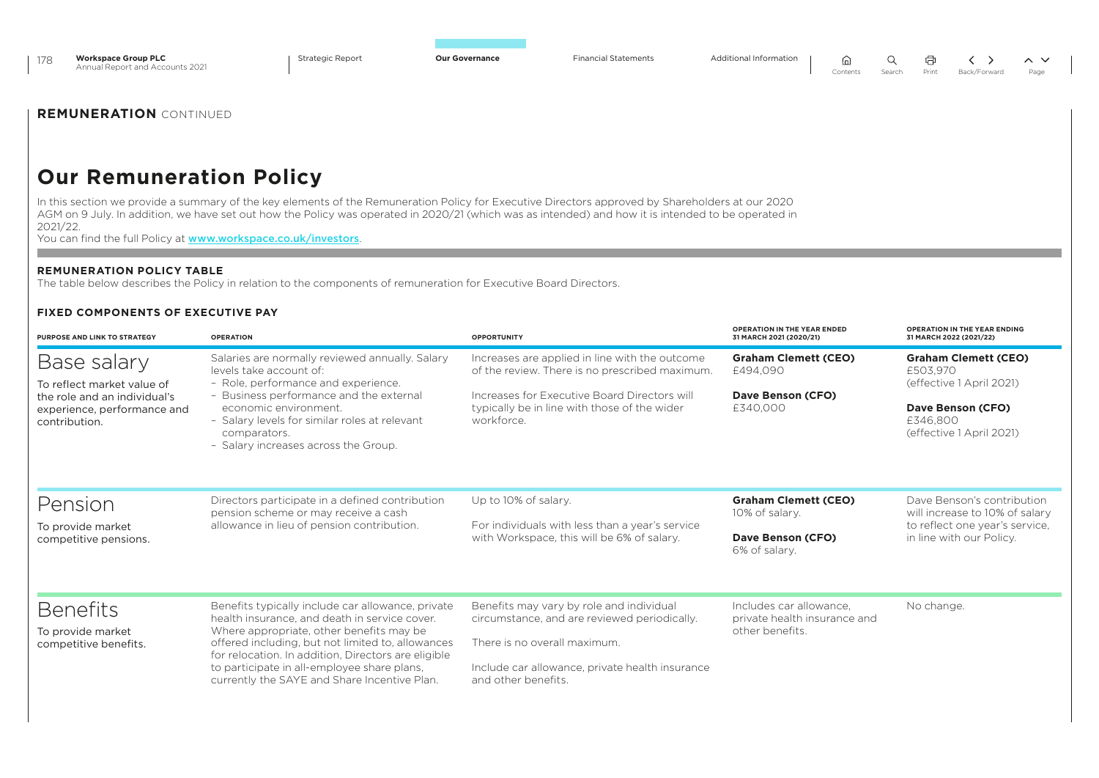| <b>Workspace Group PLC</b><br>178<br>Annual Report and Accounts 2021                                       | <b>Strategic Report</b>                                                                                                                                                                                                                                                                                                                                                   | <b>Our Governance</b><br><b>Financial Statements</b>                                                       | Additional Information<br>⋒<br>Contents                                    | Q<br>╯<br>⇒<br>$\sim$ $\sim$<br>Search<br>Print<br>Back/Forward<br>Page               |
|------------------------------------------------------------------------------------------------------------|---------------------------------------------------------------------------------------------------------------------------------------------------------------------------------------------------------------------------------------------------------------------------------------------------------------------------------------------------------------------------|------------------------------------------------------------------------------------------------------------|----------------------------------------------------------------------------|---------------------------------------------------------------------------------------|
| <b>REMUNERATION CONTINUED</b>                                                                              |                                                                                                                                                                                                                                                                                                                                                                           |                                                                                                            |                                                                            |                                                                                       |
| <b>Our Remuneration Policy</b>                                                                             |                                                                                                                                                                                                                                                                                                                                                                           |                                                                                                            |                                                                            |                                                                                       |
| 2021/22.                                                                                                   | In this section we provide a summary of the key elements of the Remuneration Policy for Executive Directors approved by Shareholders at our 2020<br>AGM on 9 July. In addition, we have set out how the Policy was operated in 2020/21 (which was as intended) and how it is intended to be operated in<br>You can find the full Policy at www.workspace.co.uk/investors. |                                                                                                            |                                                                            |                                                                                       |
| <b>REMUNERATION POLICY TABLE</b>                                                                           | The table below describes the Policy in relation to the components of remuneration for Executive Board Directors.                                                                                                                                                                                                                                                         |                                                                                                            |                                                                            |                                                                                       |
| <b>FIXED COMPONENTS OF EXECUTIVE PAY</b><br>PURPOSE AND LINK TO STRATEGY                                   | <b>OPERATION</b>                                                                                                                                                                                                                                                                                                                                                          | <b>OPPORTUNITY</b>                                                                                         | OPERATION IN THE YEAR ENDED<br>31 MARCH 2021 (2020/21)                     | OPERATION IN THE YEAR ENDING<br>31 MARCH 2022 (2021/22)                               |
| Base salary                                                                                                | Salaries are normally reviewed annually. Salary<br>levels take account of:                                                                                                                                                                                                                                                                                                | Increases are applied in line with the outcome<br>of the review. There is no prescribed maximum.           | <b>Graham Clemett (CEO)</b><br>£494,090                                    | <b>Graham Clemett (CEO)</b><br>£503,970                                               |
| To reflect market value of<br>the role and an individual's<br>experience, performance and<br>contribution. | - Role, performance and experience.<br>- Business performance and the external<br>economic environment.<br>- Salary levels for similar roles at relevant<br>comparators.<br>- Salary increases across the Group.                                                                                                                                                          | Increases for Executive Board Directors will<br>typically be in line with those of the wider<br>workforce. | Dave Benson (CFO)<br>£340.000                                              | (effective 1 April 2021)<br>Dave Benson (CFO)<br>£346.800<br>(effective 1 April 2021) |
| Pension                                                                                                    | Directors participate in a defined contribution<br>pension scheme or may receive a cash                                                                                                                                                                                                                                                                                   | Up to 10% of salary.                                                                                       | <b>Graham Clemett (CEO)</b><br>10% of salary.                              | Dave Benson's contribution<br>will increase to 10% of salary                          |
| To provide market<br>competitive pensions.                                                                 | allowance in lieu of pension contribution.                                                                                                                                                                                                                                                                                                                                | For individuals with less than a year's service<br>with Workspace, this will be 6% of salary.              | Dave Benson (CFO)<br>6% of salary.                                         | to reflect one year's service.<br>in line with our Policy.                            |
| <b>Benefits</b>                                                                                            | Benefits typically include car allowance, private<br>health insurance, and death in service cover.<br>Where appropriate, other benefits may be                                                                                                                                                                                                                            | Benefits may vary by role and individual<br>circumstance, and are reviewed periodically.                   | Includes car allowance.<br>private health insurance and<br>other benefits. | No change.                                                                            |
| To provide market<br>competitive benefits.                                                                 | offered including, but not limited to, allowances<br>for relocation. In addition, Directors are eligible<br>to participate in all-employee share plans.                                                                                                                                                                                                                   | There is no overall maximum.<br>Include car allowance, private health insurance                            |                                                                            |                                                                                       |

and other benefits.

currently the SAYE and Share Incentive Plan.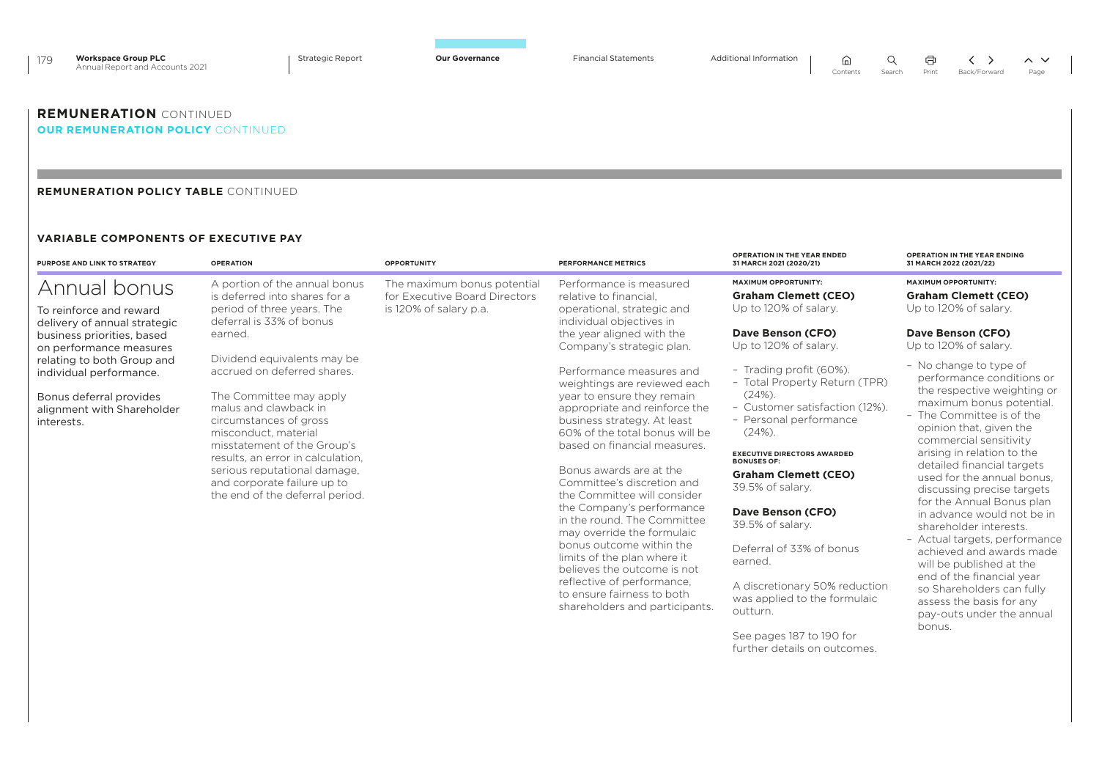| 179 | <b>Workspace Group PLC</b><br>Annual Report and Accounts 2021 | <b>Strategic Report</b> | <b>Our Governance</b> | <b>Financial Statements</b> | Additional Information | A.<br>Contents | Search | 一月<br>Print | Back/Forward | $\wedge$ $\vee$<br>Page |
|-----|---------------------------------------------------------------|-------------------------|-----------------------|-----------------------------|------------------------|----------------|--------|-------------|--------------|-------------------------|
|     | <b>REMUNERATION</b> CONTINUED                                 |                         |                       |                             |                        |                |        |             |              |                         |

### *OUR REMUNERATION POLICY CONTINUED*

### **REMUNERATION POLICY TABLE** CONTINUED

### **VARIABLE COMPONENTS OF EXECUTIVE PAY**

| <b>PURPOSE AND LINK TO STRATEGY</b>                                                                                          | <b>OPERATION</b>                                                                                                                                                                                                                                                                                                                       | <b>OPPORTUNITY</b>                                                                     | <b>PERFORMANCE METRICS</b>                                                                                                                                                                                                                                                                                                                    | <b>OPERATION IN THE YEAR ENDED</b><br>31 MARCH 2021 (2020/21)                                                                                                                                                                                                              | <b>OPERATION IN THE YEAR ENDING</b><br>31 MARCH 2022 (2021/22)                                                                                                                                                                                                                                                                                                                      |
|------------------------------------------------------------------------------------------------------------------------------|----------------------------------------------------------------------------------------------------------------------------------------------------------------------------------------------------------------------------------------------------------------------------------------------------------------------------------------|----------------------------------------------------------------------------------------|-----------------------------------------------------------------------------------------------------------------------------------------------------------------------------------------------------------------------------------------------------------------------------------------------------------------------------------------------|----------------------------------------------------------------------------------------------------------------------------------------------------------------------------------------------------------------------------------------------------------------------------|-------------------------------------------------------------------------------------------------------------------------------------------------------------------------------------------------------------------------------------------------------------------------------------------------------------------------------------------------------------------------------------|
| Annual bonus<br>To reinforce and reward<br>delivery of annual strategic                                                      | A portion of the annual bonus<br>is deferred into shares for a<br>period of three years. The<br>deferral is 33% of bonus                                                                                                                                                                                                               | The maximum bonus potential<br>for Executive Board Directors<br>is 120% of salary p.a. | Performance is measured<br>relative to financial.<br>operational, strategic and<br>individual objectives in                                                                                                                                                                                                                                   | <b>MAXIMUM OPPORTUNITY:</b><br><b>Graham Clemett (CEO)</b><br>Up to 120% of salary.                                                                                                                                                                                        | <b>MAXIMUM OPPORTUNITY:</b><br><b>Graham Clemett (CEO)</b><br>Up to 120% of salary.                                                                                                                                                                                                                                                                                                 |
| business priorities, based<br>on performance measures                                                                        | earned.                                                                                                                                                                                                                                                                                                                                |                                                                                        | the year aligned with the<br>Company's strategic plan.                                                                                                                                                                                                                                                                                        | Dave Benson (CFO)<br>Up to 120% of salary.                                                                                                                                                                                                                                 | Dave Benson (CFO)<br>Up to 120% of salary.                                                                                                                                                                                                                                                                                                                                          |
| relating to both Group and<br>individual performance.<br>Bonus deferral provides<br>alignment with Shareholder<br>interests. | Dividend equivalents may be<br>accrued on deferred shares.<br>The Committee may apply<br>malus and clawback in<br>circumstances of gross<br>misconduct, material<br>misstatement of the Group's<br>results, an error in calculation.<br>serious reputational damage,<br>and corporate failure up to<br>the end of the deferral period. |                                                                                        | Performance measures and<br>weightings are reviewed each<br>year to ensure they remain<br>appropriate and reinforce the<br>business strategy. At least<br>60% of the total bonus will be<br>based on financial measures.<br>Bonus awards are at the<br>Committee's discretion and<br>the Committee will consider<br>the Company's performance | - Trading profit (60%).<br>- Total Property Return (TPR)<br>(24%)<br>- Customer satisfaction (12%).<br>- Personal performance<br>(24%)<br><b>EXECUTIVE DIRECTORS AWARDED</b><br><b>BONUSES OF:</b><br><b>Graham Clemett (CEO)</b><br>39.5% of salary.<br>Dave Benson (CFO) | - No change to type of<br>performance conditions or<br>the respective weighting or<br>maximum bonus potential.<br>- The Committee is of the<br>opinion that, given the<br>commercial sensitivity<br>arising in relation to the<br>detailed financial targets<br>used for the annual bonus.<br>discussing precise targets<br>for the Annual Bonus plan<br>in advance would not be in |
|                                                                                                                              |                                                                                                                                                                                                                                                                                                                                        |                                                                                        | in the round. The Committee<br>may override the formulaic<br>bonus outcome within the<br>limits of the plan where it<br>believes the outcome is not<br>reflective of performance,<br>to ensure fairness to both<br>shareholders and participants.                                                                                             | 39.5% of salary.<br>Deferral of 33% of bonus<br>earned.<br>A discretionary 50% reduction<br>was applied to the formulaic<br>outturn.<br>See pages 187 to 190 for<br>further details on outcomes.                                                                           | shareholder interests.<br>- Actual targets, performance<br>achieved and awards made<br>will be published at the<br>end of the financial year<br>so Shareholders can fully<br>assess the basis for any<br>pay-outs under the annual<br>bonus.                                                                                                                                        |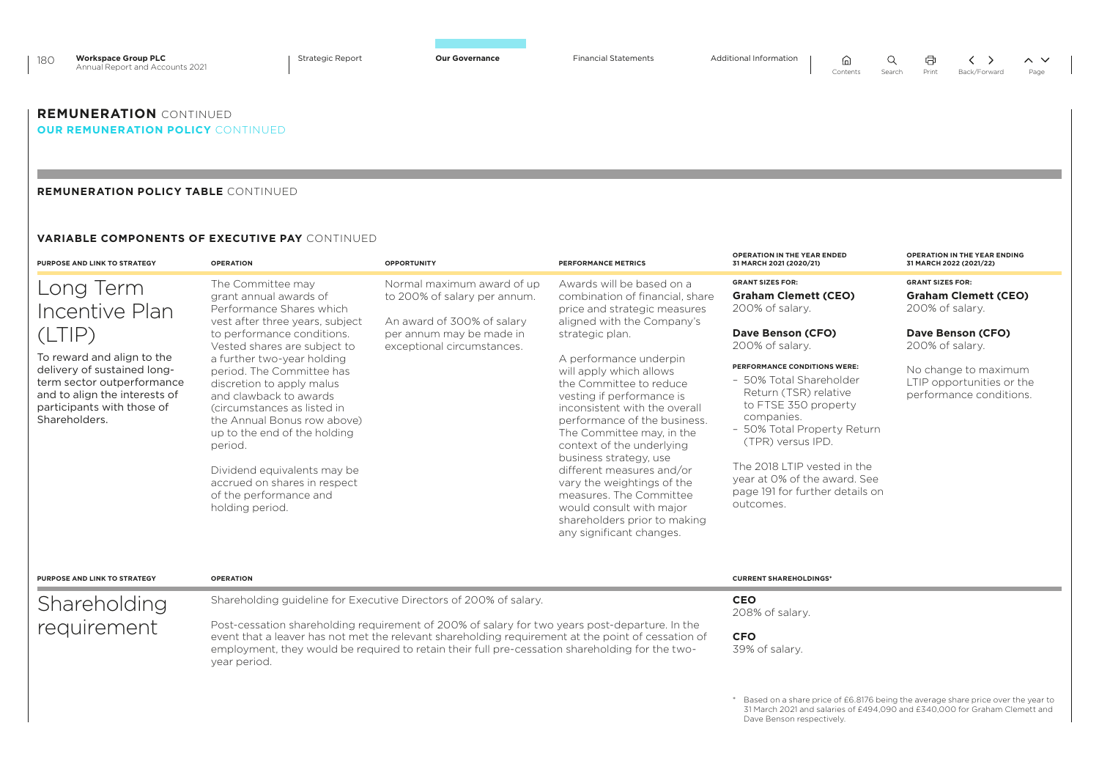| 180 | <b>Workspace Group PLC</b><br>Annual Report and Accounts 2021 | <b>Strategic Report</b> | <b>Our Governance</b> | <b>Financial Statements</b> | <b>Additional Information</b> | ⋒<br>Contents | Search | 中<br>Print | Back/Forward | $\sim$ $\sim$<br>Page |
|-----|---------------------------------------------------------------|-------------------------|-----------------------|-----------------------------|-------------------------------|---------------|--------|------------|--------------|-----------------------|
|     | <b>REMUNERATION</b> CONTINUED                                 |                         |                       |                             |                               |               |        |            |              |                       |

## **OUR REMUNERATION POLICY** CONTINUED

### **REMUNERATION POLICY TABLE** CONTINUED

### **VARIABLE COMPONENTS OF EXECUTIVE PAY** CONTINUED

| PURPOSE AND LINK TO STRATEGY                                                                                                                                                                                     | <b>OPERATION</b>                                                                                                                                                                                                                                                                                                                                                                                                                                                                                                                                                                                                                                                     | <b>OPPORTUNITY</b>                                                                                                                                                                                                                                                                                                                                                           | <b>PERFORMANCE METRICS</b>                                                                                                                                                                                                                                                                                                                                                                                                                                                                                                                                                                    | <b>OPERATION IN THE YEAR ENDED</b><br>31 MARCH 2021 (2020/21)                                                                                                                                                                                                                                                                                                                                                  | <b>OPERATION IN THE YEAR ENDING</b><br>31 MARCH 2022 (2021/22)                                                                                                                                    |
|------------------------------------------------------------------------------------------------------------------------------------------------------------------------------------------------------------------|----------------------------------------------------------------------------------------------------------------------------------------------------------------------------------------------------------------------------------------------------------------------------------------------------------------------------------------------------------------------------------------------------------------------------------------------------------------------------------------------------------------------------------------------------------------------------------------------------------------------------------------------------------------------|------------------------------------------------------------------------------------------------------------------------------------------------------------------------------------------------------------------------------------------------------------------------------------------------------------------------------------------------------------------------------|-----------------------------------------------------------------------------------------------------------------------------------------------------------------------------------------------------------------------------------------------------------------------------------------------------------------------------------------------------------------------------------------------------------------------------------------------------------------------------------------------------------------------------------------------------------------------------------------------|----------------------------------------------------------------------------------------------------------------------------------------------------------------------------------------------------------------------------------------------------------------------------------------------------------------------------------------------------------------------------------------------------------------|---------------------------------------------------------------------------------------------------------------------------------------------------------------------------------------------------|
| Long Term<br>Incentive Plan<br>(LTIP)<br>To reward and align to the<br>delivery of sustained long-<br>term sector outperformance<br>and to align the interests of<br>participants with those of<br>Shareholders. | The Committee may<br>Normal maximum award of up<br>grant annual awards of<br>to 200% of salary per annum.<br>Performance Shares which<br>vest after three years, subject<br>An award of 300% of salary<br>to performance conditions.<br>per annum may be made in<br>Vested shares are subject to<br>exceptional circumstances.<br>a further two-year holding<br>period. The Committee has<br>discretion to apply malus<br>and clawback to awards<br>Circumstances as listed in<br>the Annual Bonus row above)<br>up to the end of the holding<br>period.<br>Dividend equivalents may be<br>accrued on shares in respect<br>of the performance and<br>holding period. |                                                                                                                                                                                                                                                                                                                                                                              | Awards will be based on a<br>combination of financial, share<br>price and strategic measures<br>aligned with the Company's<br>strategic plan.<br>A performance underpin<br>will apply which allows<br>the Committee to reduce<br>vesting if performance is<br>inconsistent with the overall<br>performance of the business.<br>The Committee may, in the<br>context of the underlying<br>business strategy, use<br>different measures and/or<br>vary the weightings of the<br>measures. The Committee<br>would consult with major<br>shareholders prior to making<br>any significant changes. | <b>GRANT SIZES FOR:</b><br><b>Graham Clemett (CEO)</b><br>200% of salary.<br>Dave Benson (CFO)<br>200% of salary.<br>PERFORMANCE CONDITIONS WERE:<br>- 50% Total Shareholder<br>Return (TSR) relative<br>to FTSE 350 property<br>companies.<br>- 50% Total Property Return<br>(TPR) versus IPD.<br>The 2018 LTIP vested in the<br>year at 0% of the award. See<br>page 191 for further details on<br>outcomes. | <b>GRANT SIZES FOR:</b><br><b>Graham Clemett (CEO)</b><br>200% of salary.<br>Dave Benson (CFO)<br>200% of salary.<br>No change to maximum<br>LTIP opportunities or the<br>performance conditions. |
| <b>PURPOSE AND LINK TO STRATEGY</b><br>Shareholding<br>requirement                                                                                                                                               | <b>OPERATION</b><br>year period.                                                                                                                                                                                                                                                                                                                                                                                                                                                                                                                                                                                                                                     | Shareholding guideline for Executive Directors of 200% of salary.<br>Post-cessation shareholding requirement of 200% of salary for two years post-departure. In the<br>event that a leaver has not met the relevant shareholding requirement at the point of cessation of<br>employment, they would be required to retain their full pre-cessation shareholding for the two- |                                                                                                                                                                                                                                                                                                                                                                                                                                                                                                                                                                                               | <b>CURRENT SHAREHOLDINGS*</b><br><b>CEO</b><br>208% of salary.<br><b>CFO</b><br>39% of salary.<br>Dave Benson respectively.                                                                                                                                                                                                                                                                                    | Based on a share price of £6.8176 being the average share price over the year to<br>31 March 2021 and salaries of £494,090 and £340,000 for Graham Clemett and                                    |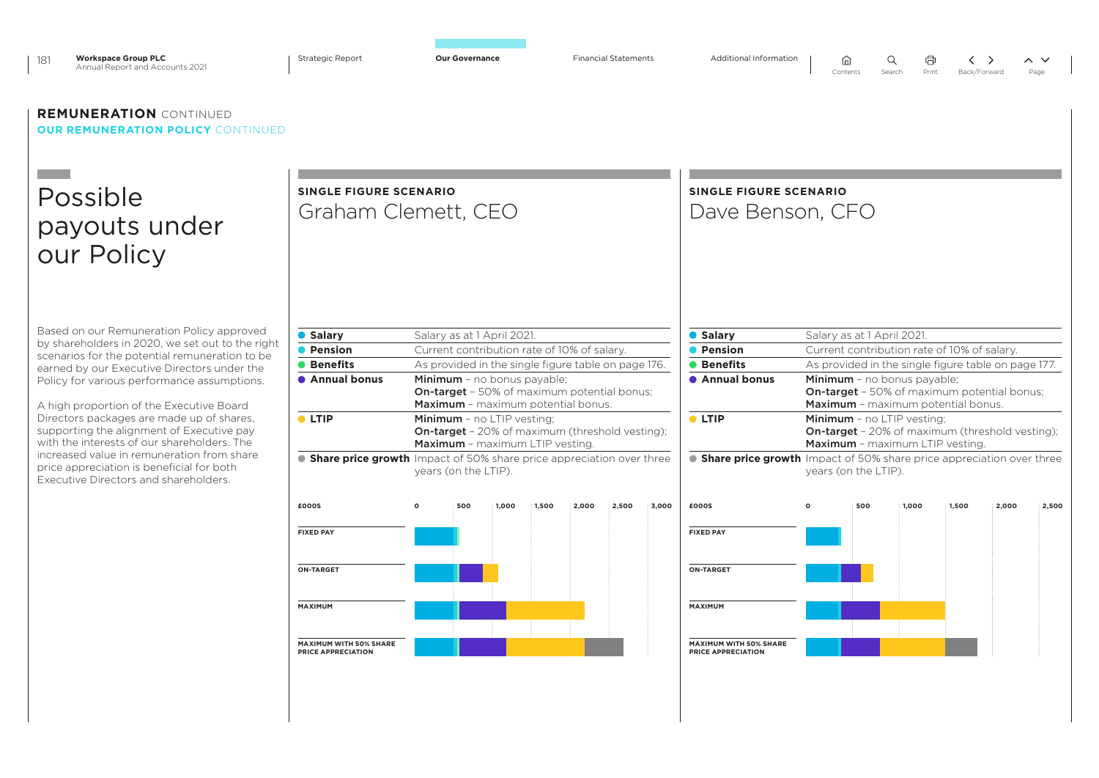| <b>Workspace Group PLC</b><br>181<br>Annual Report and Accounts 2021                                                                                                                                                                                                                                                                                                                                                                                                                                                                                                   | <b>Strategic Report</b>                                                                                                                                  | <b>Our Governance</b>                                                                                                                                                                                                                                                                                                                                                                                                        |       |       |       | <b>Financial Statements</b> |       | Additional Information                                                                                                                                   |         | (uj<br>Contents                                    | Print<br>Search                                                                                                                                                                                                                                                                                                                                                        | Back/Forward |       | $\sim~\vee$<br>Page |
|------------------------------------------------------------------------------------------------------------------------------------------------------------------------------------------------------------------------------------------------------------------------------------------------------------------------------------------------------------------------------------------------------------------------------------------------------------------------------------------------------------------------------------------------------------------------|----------------------------------------------------------------------------------------------------------------------------------------------------------|------------------------------------------------------------------------------------------------------------------------------------------------------------------------------------------------------------------------------------------------------------------------------------------------------------------------------------------------------------------------------------------------------------------------------|-------|-------|-------|-----------------------------|-------|----------------------------------------------------------------------------------------------------------------------------------------------------------|---------|----------------------------------------------------|------------------------------------------------------------------------------------------------------------------------------------------------------------------------------------------------------------------------------------------------------------------------------------------------------------------------------------------------------------------------|--------------|-------|---------------------|
| <b>REMUNERATION CONTINUED</b><br><b>OUR REMUNERATION POLICY CONTINUED</b>                                                                                                                                                                                                                                                                                                                                                                                                                                                                                              |                                                                                                                                                          |                                                                                                                                                                                                                                                                                                                                                                                                                              |       |       |       |                             |       |                                                                                                                                                          |         |                                                    |                                                                                                                                                                                                                                                                                                                                                                        |              |       |                     |
| Possible<br>payouts under<br>our Policy                                                                                                                                                                                                                                                                                                                                                                                                                                                                                                                                | SINGLE FIGURE SCENARIO<br>Graham Clemett, CEO                                                                                                            |                                                                                                                                                                                                                                                                                                                                                                                                                              |       |       |       |                             |       | <b>SINGLE FIGURE SCENARIO</b><br>Dave Benson, CFO                                                                                                        |         |                                                    |                                                                                                                                                                                                                                                                                                                                                                        |              |       |                     |
| Based on our Remuneration Policy approved<br>by shareholders in 2020, we set out to the right<br>scenarios for the potential remuneration to be<br>earned by our Executive Directors under the<br>Policy for various performance assumptions.<br>A high proportion of the Executive Board<br>Directors packages are made up of shares,<br>supporting the alignment of Executive pay<br>with the interests of our shareholders. The<br>increased value in remuneration from share<br>price appreciation is beneficial for both<br>Executive Directors and shareholders. | ● Salary<br>• Pension<br><b>• Benefits</b><br>• Annual bonus<br>$\bullet$ LTIP<br>• Share price growth Impact of 50% share price appreciation over three | Salary as at 1 April 2021.<br>Current contribution rate of 10% of salary.<br>As provided in the single figure table on page 176.<br>Minimum - no bonus payable;<br><b>On-target</b> - 50% of maximum potential bonus;<br>Maximum - maximum potential bonus.<br><b>Minimum</b> - no LTIP vesting:<br><b>On-target</b> - 20% of maximum (threshold vesting);<br><b>Maximum</b> - maximum LTIP vesting.<br>years (on the LTIP). |       |       |       |                             |       | ● Salary<br>• Pension<br><b>• Benefits</b><br>• Annual bonus<br>$\bullet$ LTIP<br>• Share price growth Impact of 50% share price appreciation over three |         | Salary as at 1 April 2021.<br>years (on the LTIP). | Current contribution rate of 10% of salary.<br>As provided in the single figure table on page 177.<br>Minimum - no bonus payable;<br><b>On-target</b> - 50% of maximum potential bonus;<br><b>Maximum</b> - maximum potential bonus.<br>Minimum - no LTIP vesting:<br><b>On-target</b> - 20% of maximum (threshold vesting);<br><b>Maximum</b> - maximum LTIP vesting. |              |       |                     |
|                                                                                                                                                                                                                                                                                                                                                                                                                                                                                                                                                                        | £000S<br><b>FIXED PAY</b>                                                                                                                                | $\mathsf{o}$<br>500                                                                                                                                                                                                                                                                                                                                                                                                          | 1.000 | 1,500 | 2,000 | 2.500                       | 3.000 | £000S<br><b>FIXED PAY</b>                                                                                                                                | $\circ$ | 500                                                | 1.000                                                                                                                                                                                                                                                                                                                                                                  | 1.500        | 2,000 | 2,500               |
|                                                                                                                                                                                                                                                                                                                                                                                                                                                                                                                                                                        | <b>ON-TARGET</b><br>MAXIMUM<br>MAXIMUM WITH 50% SHARE<br>PRICE APPRECIATION                                                                              |                                                                                                                                                                                                                                                                                                                                                                                                                              |       |       |       |                             |       | <b>ON-TARGET</b><br>MAXIMUM<br>MAXIMUM WITH 50% SHARE<br>PRICE APPRECIATION                                                                              |         |                                                    |                                                                                                                                                                                                                                                                                                                                                                        |              |       |                     |
|                                                                                                                                                                                                                                                                                                                                                                                                                                                                                                                                                                        |                                                                                                                                                          |                                                                                                                                                                                                                                                                                                                                                                                                                              |       |       |       |                             |       |                                                                                                                                                          |         |                                                    |                                                                                                                                                                                                                                                                                                                                                                        |              |       |                     |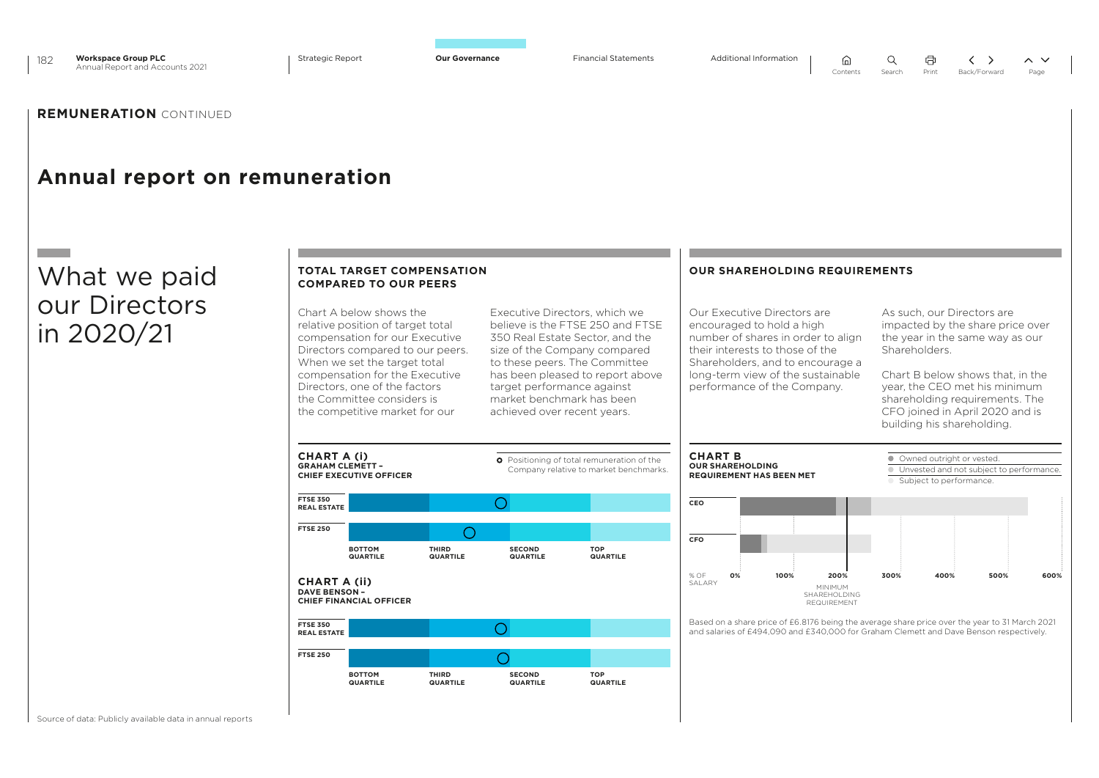

 $\cap$ 

 $Q$ 

 $\sim$   $\sim$ 

## **REMUNERATION** CONTINUED

## **Annual report on remuneration**

## What we paid our Directors in 2020/21

|                                             | <b>COMPARED TO OUR PEERS</b>                                                                                                                                                                                                                                                                          | <b>TOTAL TARGET COMPENSATION</b> |                                                                                        |                                                                                                                                                                                                           | <b>OUR SHAREHOLDING REQUIREMENTS</b>                                                                                                                                                                                                      |                                                                                                                                                                                                                                                                                            |
|---------------------------------------------|-------------------------------------------------------------------------------------------------------------------------------------------------------------------------------------------------------------------------------------------------------------------------------------------------------|----------------------------------|----------------------------------------------------------------------------------------|-----------------------------------------------------------------------------------------------------------------------------------------------------------------------------------------------------------|-------------------------------------------------------------------------------------------------------------------------------------------------------------------------------------------------------------------------------------------|--------------------------------------------------------------------------------------------------------------------------------------------------------------------------------------------------------------------------------------------------------------------------------------------|
|                                             | Chart A below shows the<br>relative position of target total<br>compensation for our Executive<br>Directors compared to our peers.<br>When we set the target total<br>compensation for the Executive<br>Directors, one of the factors<br>the Committee considers is<br>the competitive market for our |                                  | target performance against<br>market benchmark has been<br>achieved over recent years. | Executive Directors, which we<br>believe is the FTSE 250 and FTSE<br>350 Real Estate Sector, and the<br>size of the Company compared<br>to these peers. The Committee<br>has been pleased to report above | Our Executive Directors are<br>encouraged to hold a high<br>number of shares in order to align<br>their interests to those of the<br>Shareholders, and to encourage a<br>long-term view of the sustainable<br>performance of the Company. | As such, our Directors are<br>impacted by the share price over<br>the year in the same way as our<br>Shareholders.<br>Chart B below shows that, in the<br>year, the CEO met his minimum<br>shareholding requirements. The<br>CFO joined in April 2020 and is<br>building his shareholding. |
| <b>CHART A (i)</b>                          |                                                                                                                                                                                                                                                                                                       |                                  |                                                                                        |                                                                                                                                                                                                           | <b>CHART B</b>                                                                                                                                                                                                                            |                                                                                                                                                                                                                                                                                            |
| <b>FTSE 350</b>                             | <b>GRAHAM CLEMETT -</b><br><b>CHIEF EXECUTIVE OFFICER</b>                                                                                                                                                                                                                                             |                                  | $\left( \right)$                                                                       | <b>O</b> Positioning of total remuneration of the<br>Company relative to market benchmarks.                                                                                                               | <b>OUR SHAREHOLDING</b><br><b>REQUIREMENT HAS BEEN MET</b><br>CEO                                                                                                                                                                         | • Owned outright or vested.<br>● Unvested and not subject to performance<br>Subject to performance.                                                                                                                                                                                        |
| <b>REAL ESTATE</b><br><b>FTSE 250</b>       |                                                                                                                                                                                                                                                                                                       |                                  |                                                                                        |                                                                                                                                                                                                           |                                                                                                                                                                                                                                           |                                                                                                                                                                                                                                                                                            |
|                                             | <b>BOTTOM</b><br><b>QUARTILE</b>                                                                                                                                                                                                                                                                      | <b>THIRD</b><br><b>QUARTILE</b>  | <b>SECOND</b><br><b>QUARTILE</b>                                                       | <b>TOP</b><br><b>QUARTILE</b>                                                                                                                                                                             | CFO                                                                                                                                                                                                                                       |                                                                                                                                                                                                                                                                                            |
| <b>CHART A (ii)</b><br><b>DAVE BENSON -</b> | <b>CHIEF FINANCIAL OFFICER</b>                                                                                                                                                                                                                                                                        |                                  |                                                                                        |                                                                                                                                                                                                           | $%$ OF<br>100%<br>200%<br>0%<br>SAI ARY<br><b>MINIMUM</b><br>SHAREHOLDING<br><b>REQUIREMENT</b>                                                                                                                                           | 300%<br>400%<br>500%                                                                                                                                                                                                                                                                       |
| <b>FTSE 350</b><br><b>REAL ESTATE</b>       |                                                                                                                                                                                                                                                                                                       |                                  | ( )                                                                                    |                                                                                                                                                                                                           |                                                                                                                                                                                                                                           |                                                                                                                                                                                                                                                                                            |
| <b>FTSE 250</b>                             |                                                                                                                                                                                                                                                                                                       |                                  |                                                                                        |                                                                                                                                                                                                           |                                                                                                                                                                                                                                           | Based on a share price of £6.8176 being the average share price over the year to 31 March 2021<br>and salaries of £494,090 and £340,000 for Graham Clemett and Dave Benson respectively.                                                                                                   |

Source of data: Publicly available data in annual reports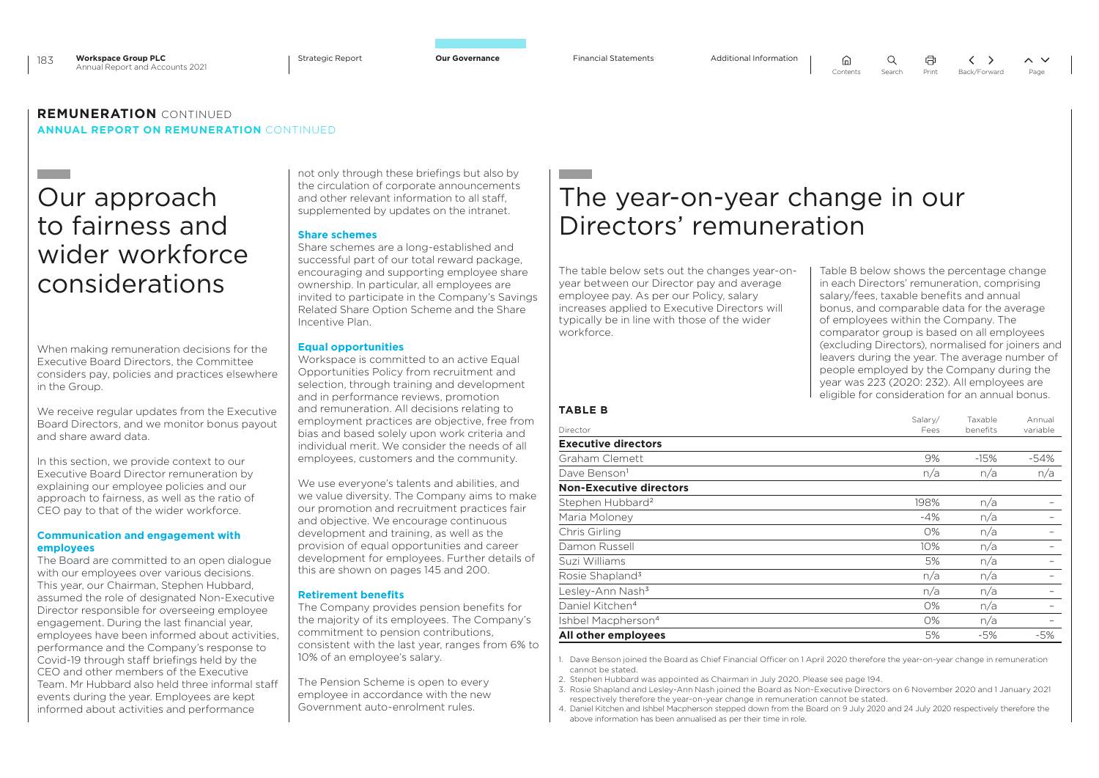Strategic Report **Our Governance** Financial Statements Additional Information

 $\bigcap$ 

 $\Omega$ 

### **REMUNERATION** CONTINUED **ANNUAL REPORT ON REMUNERATION** CONTINUED

## Our approach to fairness and wider workforce considerations

When making remuneration decisions for the Executive Board Directors, the Committee considers pay, policies and practices elsewhere in the Group.

We receive regular updates from the Executive Board Directors, and we monitor bonus payout and share award data.

In this section, we provide context to our Executive Board Director remuneration by explaining our employee policies and our approach to fairness, as well as the ratio of CEO pay to that of the wider workforce.

### **Communication and engagement with employees**

The Board are committed to an open dialogue with our employees over various decisions. This year, our Chairman, Stephen Hubbard, assumed the role of designated Non-Executive Director responsible for overseeing employee engagement. During the last financial year, employees have been informed about activities, performance and the Company's response to Covid-19 through staff briefings held by the CEO and other members of the Executive Team. Mr Hubbard also held three informal staff events during the year. Employees are kept informed about activities and performance

not only through these briefings but also by the circulation of corporate announcements and other relevant information to all staff, supplemented by updates on the intranet.

### **Share schemes**

Share schemes are a long-established and successful part of our total reward package, encouraging and supporting employee share ownership. In particular, all employees are invited to participate in the Company's Savings Related Share Option Scheme and the Share Incentive Plan.

### **Equal opportunities**

Workspace is committed to an active Fqual Opportunities Policy from recruitment and selection, through training and development and in performance reviews, promotion and remuneration. All decisions relating to employment practices are objective, free from bias and based solely upon work criteria and individual merit. We consider the needs of all employees, customers and the community.

We use everyone's talents and abilities, and we value diversity. The Company aims to make our promotion and recruitment practices fair and objective. We encourage continuous development and training, as well as the provision of equal opportunities and career development for employees. Further details of this are shown on pages 145 and 200.

### **Retirement benefits**

The Company provides pension benefits for the majority of its employees. The Company's commitment to pension contributions, consistent with the last year, ranges from 6% to 10% of an employee's salary.

The Pension Scheme is open to every employee in accordance with the new Government auto-enrolment rules.

## The year-on-year change in our Directors' remuneration

The table below sets out the changes year-onyear between our Director pay and average employee pay. As per our Policy, salary increases applied to Executive Directors will typically be in line with those of the wider workforce.

Table B below shows the percentage change in each Directors' remuneration, comprising salary/fees, taxable benefits and annual bonus, and comparable data for the average of employees within the Company. The comparator group is based on all employees (excluding Directors), normalised for joiners and leavers during the year. The average number of people employed by the Company during the year was 223 (2020: 232). All employees are eligible for consideration for an annual bonus.

### **TABLE B**

| Director<br>Fees<br><b>Executive directors</b> | benefits<br>$-15%$ | variable |
|------------------------------------------------|--------------------|----------|
|                                                |                    |          |
| Graham Clemett<br>9%                           |                    | -54%     |
| Dave Benson <sup>1</sup><br>n/a                | n/a                | n/a      |
| <b>Non-Executive directors</b>                 |                    |          |
| Stephen Hubbard <sup>2</sup><br>198%           | n/a                |          |
| Maria Moloney<br>$-4%$                         | n/a                |          |
| Chris Girling<br>0%                            | n/a                |          |
| Damon Russell<br>10%                           | n/a                |          |
| Suzi Williams<br>5%                            | n/a                |          |
| Rosie Shapland <sup>3</sup><br>n/a             | n/a                |          |
| Lesley-Ann Nash <sup>3</sup><br>n/a            | n/a                |          |
| Daniel Kitchen <sup>4</sup><br>0%              | n/a                |          |
| Ishbel Macpherson <sup>4</sup><br>0%           | n/a                |          |
| All other employees<br>5%                      | -5%                | $-5%$    |

1. Dave Benson joined the Board as Chief Financial Officer on 1 April 2020 therefore the year-on-year change in remuneration cannot be stated.

2. Stephen Hubbard was appointed as Chairman in July 2020. Please see page 194.

3. Rosie Shapland and Lesley-Ann Nash joined the Board as Non-Executive Directors on 6 November 2020 and 1 January 2021 respectively therefore the year-on-year change in remuneration cannot be stated.

4. Daniel Kitchen and Ishbel Macpherson stepped down from the Board on 9 July 2020 and 24 July 2020 respectively therefore the above information has been annualised as per their time in role.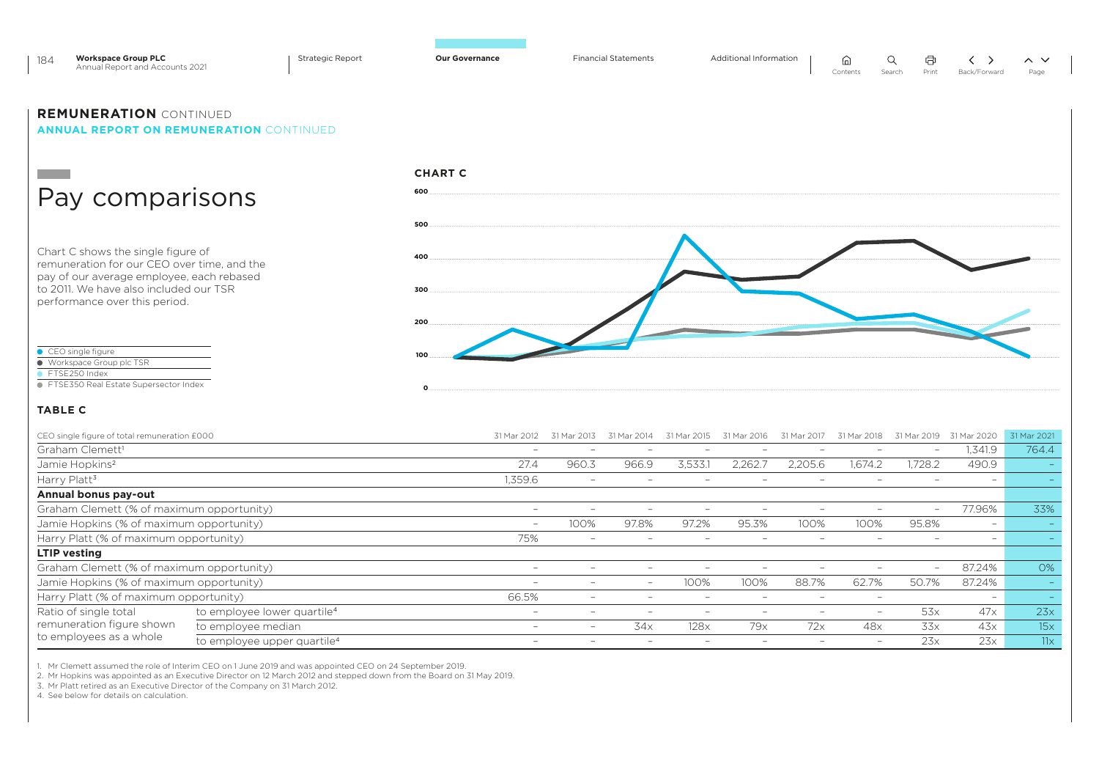| <b>Workspace Group PLC</b><br>184<br>Annual Report and Accounts 2021                                                           | <b>Strategic Report</b> | <b>Our Governance</b> | <b>Financial Statements</b> | Additional Information | ⋒<br>Q<br>Contents<br>Search | 申<br>$\langle \rangle$<br>$\sim~\vee$<br>Print<br>Back/Forward<br>Page |
|--------------------------------------------------------------------------------------------------------------------------------|-------------------------|-----------------------|-----------------------------|------------------------|------------------------------|------------------------------------------------------------------------|
| <b>REMUNERATION CONTINUED</b><br><b>ANNUAL REPORT ON REMUNERATION CONTINUED</b>                                                |                         |                       |                             |                        |                              |                                                                        |
|                                                                                                                                |                         | <b>CHART C</b>        |                             |                        |                              |                                                                        |
| Pay comparisons                                                                                                                |                         | 600                   |                             |                        |                              |                                                                        |
|                                                                                                                                |                         | 500                   |                             |                        |                              |                                                                        |
| Chart C shows the single figure of<br>remuneration for our CEO over time, and the<br>pay of our average employee, each rebased |                         | 400                   |                             |                        |                              |                                                                        |
| to 2011. We have also included our TSR<br>performance over this period.                                                        |                         | 300                   |                             |                        |                              |                                                                        |
|                                                                                                                                |                         | 200                   |                             |                        |                              |                                                                        |
| CEO single figure<br>● Workspace Group plc TSR<br>FTSE250 Index                                                                |                         |                       |                             |                        |                              |                                                                        |
| ● FTSE350 Real Estate Supersector Index                                                                                        |                         |                       |                             |                        |                              |                                                                        |
| <b>TABLE C</b>                                                                                                                 |                         |                       |                             |                        |                              |                                                                        |

| CEO single figure of total remuneration £000 |                                         | 31 Mar 2012              |                                 | 31 Mar                   | 31 Mar 2015 | 31 Mar<br>2016 | 31 Mar                   | 31 Mar                   | 2019<br>31 Mar :         | 31 Mar 2020              | 31 Mar 2021 |
|----------------------------------------------|-----------------------------------------|--------------------------|---------------------------------|--------------------------|-------------|----------------|--------------------------|--------------------------|--------------------------|--------------------------|-------------|
| Graham Clemett <sup>1</sup>                  |                                         | $\overline{\phantom{0}}$ | $\overline{\phantom{0}}$        | $\overline{\phantom{0}}$ |             |                |                          |                          | $\overline{\phantom{0}}$ | 1,341.9                  | 764.4       |
| Jamie Hopkins <sup>2</sup>                   |                                         | 27.4                     | 960.3                           | 966.9                    | 3.533.1     | 2,262.         | 2.205.6                  | 1.674.2                  | 1.728.2                  | 490.9                    |             |
| Harry Platt <sup>3</sup>                     |                                         | 1,359.6                  | $\overline{\phantom{0}}$        |                          |             |                |                          |                          |                          |                          |             |
| Annual bonus pay-out                         |                                         |                          |                                 |                          |             |                |                          |                          |                          |                          |             |
| Graham Clemett (% of maximum opportunity)    |                                         | $\overline{\phantom{0}}$ | $\overline{\phantom{0}}$        |                          |             |                | -                        | $\overline{\phantom{0}}$ | $\overline{\phantom{0}}$ | 77.96%                   | 33%         |
| Jamie Hopkins (% of maximum opportunity)     |                                         | $-$                      | 100%                            | 97.8%                    | 97.2%       | 95.3%          | 100%                     | 100%                     | 95.8%                    | $\sim$                   |             |
| Harry Platt (% of maximum opportunity)       |                                         | 75%                      | $\hspace{0.1mm}-\hspace{0.1mm}$ |                          |             |                |                          |                          |                          |                          |             |
| <b>LTIP</b> vesting                          |                                         |                          |                                 |                          |             |                |                          |                          |                          |                          |             |
| Graham Clemett (% of maximum opportunity)    |                                         | $\qquad \qquad$          |                                 | $\overline{\phantom{0}}$ |             |                |                          | $\overline{\phantom{0}}$ | $\overline{\phantom{m}}$ | 87.24%                   | 0%          |
| Jamie Hopkins (% of maximum opportunity)     |                                         | $\qquad \qquad$          | $\overline{\phantom{0}}$        | $\overline{\phantom{0}}$ | 100%        | 100%           | 88.7%                    | 62.7%                    | 50.7%                    | 87.24%                   |             |
| Harry Platt (% of maximum opportunity)       |                                         | 66.5%                    | $\overline{\phantom{a}}$        |                          |             |                |                          | $\overline{\phantom{0}}$ |                          | $\overline{\phantom{0}}$ |             |
| Ratio of single total                        | to employee lower quartile <sup>4</sup> | $\overline{\phantom{0}}$ | $\overline{\phantom{a}}$        |                          |             |                | $\overline{\phantom{a}}$ | $\overline{\phantom{0}}$ | 53x                      | 47x                      | 23x         |
| remuneration figure shown                    | to employee median                      | $\overline{\phantom{0}}$ | $\overline{\phantom{0}}$        | 34x                      | 128x        | 79x            | 72x                      | 48x                      | 33x                      | 43x                      | 15x         |
| to employees as a whole                      | to employee upper quartile <sup>4</sup> | $\overline{\phantom{0}}$ | $\overline{\phantom{a}}$        | $\overline{\phantom{0}}$ |             |                |                          |                          | 23x                      | 23x                      | 11x         |

1. Mr Clemett assumed the role of Interim CEO on 1 June 2019 and was appointed CEO on 24 September 2019.<br>2. Mr Hopkins was appointed as an Executive Director on 12 March 2012 and stepped down from the Board on 31 May 20

4. See below for details on calculation.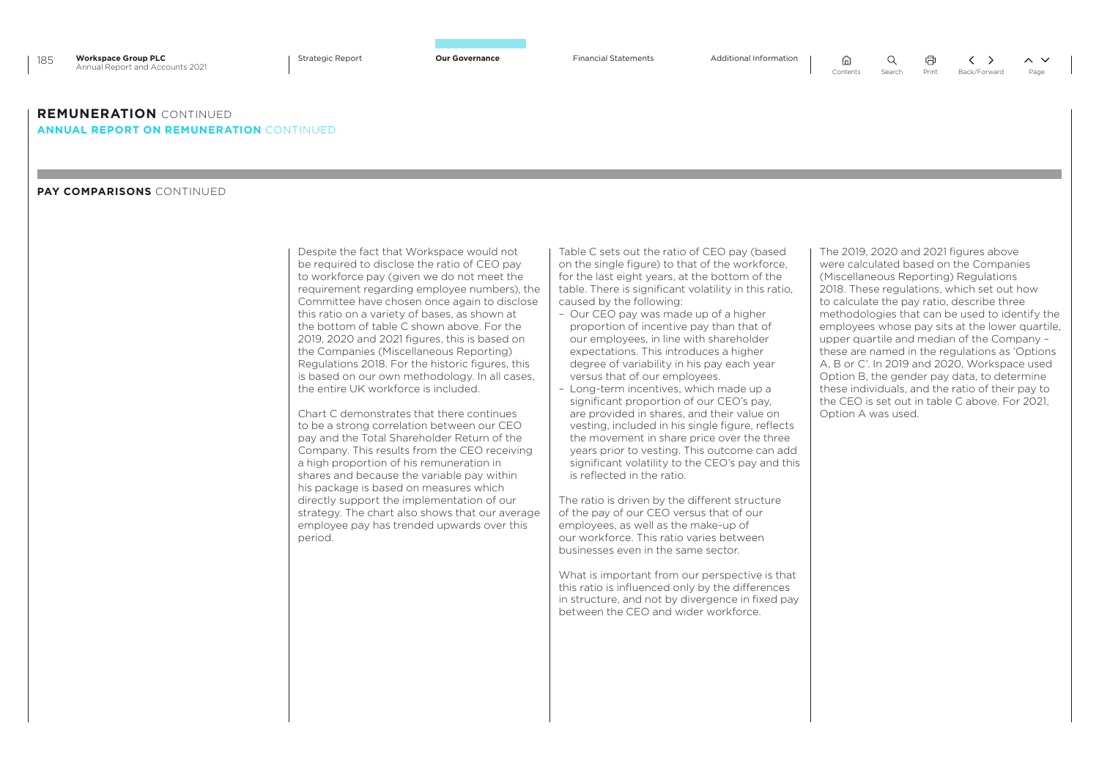### **REMUNERATION** CONTINUED **ANNUAL REPORT ON REMUNERATION** CONTINUED

### **PAY COMPARISONS** CONTINUED

Despite the fact that Workspace would not be required to disclose the ratio of CEO pay to workforce pay (given we do not meet the requirement regarding employee numbers), the Committee have chosen once again to disclose this ratio on a variety of bases, as shown at the bottom of table C shown above. For the 2019, 2020 and 2021 figures, this is based on the Companies (Miscellaneous Reporting) Regulations 2018. For the historic figures, this is based on our own methodology. In all cases, the entire UK workforce is included.

Chart C demonstrates that there continues to be a strong correlation between our CEO pay and the Total Shareholder Return of the Company. This results from the CEO receiving a high proportion of his remuneration in shares and because the variable pay within his package is based on measures which directly support the implementation of our strategy. The chart also shows that our average employee pay has trended upwards over this period.

Table C sets out the ratio of CEO pay (based on the single figure) to that of the workforce, for the last eight years, at the bottom of the table. There is significant volatility in this ratio, caused by the following:

- Our CEO pay was made up of a higher proportion of incentive pay than that of our employees, in line with shareholder expectations. This introduces a higher degree of variability in his pay each year versus that of our employees.
- Long-term incentives, which made up a significant proportion of our CEO's pay, are provided in shares, and their value on vesting, included in his single figure, reflects the movement in share price over the three years prior to vesting. This outcome can add significant volatility to the CEO's pay and this is reflected in the ratio.

The ratio is driven by the different structure of the pay of our CEO versus that of our employees, as well as the make-up of our workforce. This ratio varies between businesses even in the same sector.

What is important from our perspective is that this ratio is influenced only by the differences in structure, and not by divergence in fixed pay between the CEO and wider workforce.

The 2019, 2020 and 2021 figures above were calculated based on the Companies (Miscellaneous Reporting) Regulations 2018. These regulations, which set out how to calculate the pay ratio, describe three methodologies that can be used to identify the employees whose pay sits at the lower quartile, upper quartile and median of the Company – these are named in the regulations as 'Options A, B or C'. In 2019 and 2020, Workspace used Option B, the gender pay data, to determine these individuals, and the ratio of their pay to the CEO is set out in table C above. For 2021, Option A was used.

量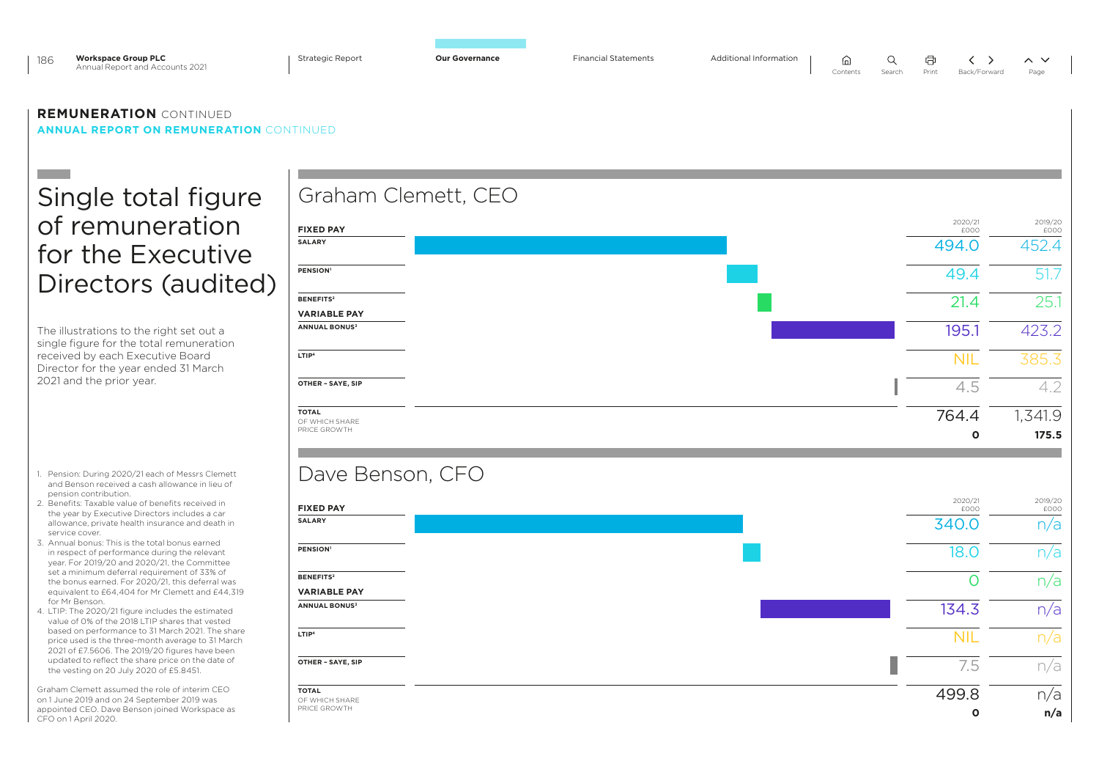| <b>Workspace Group PLC</b><br>186<br>Annual Report and Accounts 2021                                                                                                                                                                                                                                                                                                                                                                                                                                                                                                                                                                                                                                                                                                                                                                                                                                                                                                                                          | <b>Strategic Report</b>                                                                                                                                                              | <b>Our Governance</b> | <b>Financial Statements</b> | Additional Information | Q<br>⋒<br>Contents<br>Search | 中<br>Print<br>Back/Forward                                                 | $\sim$ $\vee$<br>Page                                     |
|---------------------------------------------------------------------------------------------------------------------------------------------------------------------------------------------------------------------------------------------------------------------------------------------------------------------------------------------------------------------------------------------------------------------------------------------------------------------------------------------------------------------------------------------------------------------------------------------------------------------------------------------------------------------------------------------------------------------------------------------------------------------------------------------------------------------------------------------------------------------------------------------------------------------------------------------------------------------------------------------------------------|--------------------------------------------------------------------------------------------------------------------------------------------------------------------------------------|-----------------------|-----------------------------|------------------------|------------------------------|----------------------------------------------------------------------------|-----------------------------------------------------------|
| <b>REMUNERATION CONTINUED</b><br><b>ANNUAL REPORT ON REMUNERATION CONTINUED</b>                                                                                                                                                                                                                                                                                                                                                                                                                                                                                                                                                                                                                                                                                                                                                                                                                                                                                                                               |                                                                                                                                                                                      |                       |                             |                        |                              |                                                                            |                                                           |
| Single total figure<br>of remuneration<br>for the Executive                                                                                                                                                                                                                                                                                                                                                                                                                                                                                                                                                                                                                                                                                                                                                                                                                                                                                                                                                   | <b>FIXED PAY</b><br><b>SALARY</b><br>PENSION <sup>1</sup>                                                                                                                            | Graham Clemett, CEO   |                             |                        |                              | 2020/21<br>£000<br>494.0<br>49.4                                           | 2019/20<br>£000<br>452.4<br>51.7                          |
| Directors (audited)<br>The illustrations to the right set out a<br>single figure for the total remuneration<br>received by each Executive Board<br>Director for the year ended 31 March<br>2021 and the prior year.                                                                                                                                                                                                                                                                                                                                                                                                                                                                                                                                                                                                                                                                                                                                                                                           | <b>BENEFITS2</b><br><b>VARIABLE PAY</b><br><b>ANNUAL BONUS3</b><br>LTIP <sup>4</sup><br>OTHER - SAYE, SIP                                                                            |                       |                             |                        |                              | 21.4<br>195.1<br><b>NIL</b><br>4.5                                         | 25.1<br>423.2<br>385.3<br>4.2                             |
|                                                                                                                                                                                                                                                                                                                                                                                                                                                                                                                                                                                                                                                                                                                                                                                                                                                                                                                                                                                                               | <b>TOTAL</b><br>OF WHICH SHARE<br>PRICE GROWTH                                                                                                                                       |                       |                             |                        |                              | 764.4<br>O                                                                 | 1,341.9<br>175.5                                          |
| 1. Pension: During 2020/21 each of Messrs Clemett<br>and Benson received a cash allowance in lieu of<br>pension contribution.<br>2. Benefits: Taxable value of benefits received in<br>the year by Executive Directors includes a car<br>allowance, private health insurance and death in<br>service cover.<br>3. Annual bonus: This is the total bonus earned<br>in respect of performance during the relevant<br>year. For 2019/20 and 2020/21, the Committee<br>set a minimum deferral requirement of 33% of<br>the bonus earned. For 2020/21, this deferral was<br>equivalent to £64,404 for Mr Clemett and £44,319<br>for Mr Benson.<br>4. LTIP: The 2020/21 figure includes the estimated<br>value of 0% of the 2018 LTIP shares that vested<br>based on performance to 31 March 2021. The share<br>price used is the three-month average to 31 March<br>2021 of £7.5606. The 2019/20 figures have been<br>updated to reflect the share price on the date of<br>the vesting on 20 July 2020 of £5.8451. | Dave Benson, CFO<br><b>FIXED PAY</b><br><b>SALARY</b><br><b>PENSION</b><br><b>BENEFITS2</b><br><b>VARIABLE PAY</b><br><b>ANNUAL BONUS3</b><br>LTIP <sup>4</sup><br>OTHER - SAYE, SIP |                       |                             |                        |                              | 2020/21<br>£000<br>340.0<br><b>18.0</b><br>0<br>134.3<br><b>NIL</b><br>7.5 | 2019/20<br>£000<br>n/a<br>n/a<br>n/a<br>n/a<br>n/a<br>n/a |
| Graham Clemett assumed the role of interim CEO<br>on 1 June 2019 and on 24 September 2019 was<br>appointed CEO. Dave Benson joined Workspace as<br>CFO on 1 April 2020.                                                                                                                                                                                                                                                                                                                                                                                                                                                                                                                                                                                                                                                                                                                                                                                                                                       | <b>TOTAL</b><br>OF WHICH SHARE<br>PRICE GROWTH                                                                                                                                       |                       |                             |                        |                              | 499.8<br>$\mathbf{o}$                                                      | n/a<br>n/a                                                |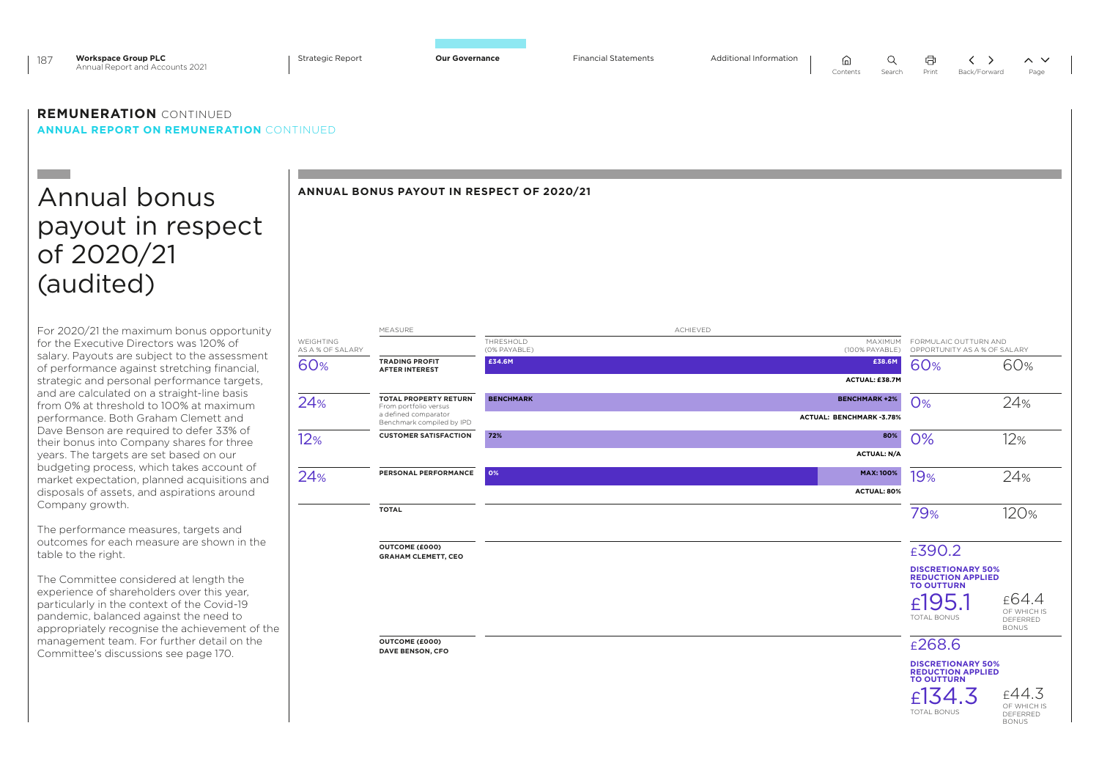| <b>Workspace Group PLC</b><br>187<br>Annual Report and Accounts 2021                                                                                                                  | <b>Strategic Report</b> | <b>Our Governance</b>                                 | <b>Financial Statements</b>               |          | Additional Information | Q<br>ωJ<br>Contents<br>Search          | 帍<br>╯<br>Print                                                    | $\sim$ $\sim$<br>$\rightarrow$<br>Back/Forward<br>Page |
|---------------------------------------------------------------------------------------------------------------------------------------------------------------------------------------|-------------------------|-------------------------------------------------------|-------------------------------------------|----------|------------------------|----------------------------------------|--------------------------------------------------------------------|--------------------------------------------------------|
| <b>REMUNERATION CONTINUED</b><br><b>ANNUAL REPORT ON REMUNERATION CONTINUED</b>                                                                                                       |                         |                                                       |                                           |          |                        |                                        |                                                                    |                                                        |
|                                                                                                                                                                                       |                         |                                                       |                                           |          |                        |                                        |                                                                    |                                                        |
| Annual bonus                                                                                                                                                                          |                         |                                                       | ANNUAL BONUS PAYOUT IN RESPECT OF 2020/21 |          |                        |                                        |                                                                    |                                                        |
| payout in respect                                                                                                                                                                     |                         |                                                       |                                           |          |                        |                                        |                                                                    |                                                        |
|                                                                                                                                                                                       |                         |                                                       |                                           |          |                        |                                        |                                                                    |                                                        |
| of 2020/21                                                                                                                                                                            |                         |                                                       |                                           |          |                        |                                        |                                                                    |                                                        |
| (audited)                                                                                                                                                                             |                         |                                                       |                                           |          |                        |                                        |                                                                    |                                                        |
|                                                                                                                                                                                       |                         |                                                       |                                           |          |                        |                                        |                                                                    |                                                        |
| For 2020/21 the maximum bonus opportunity<br>for the Executive Directors was 120% of                                                                                                  | WEIGHTING               | MEASURE                                               | THRESHOLD                                 | ACHIEVED |                        | MAXIMUM                                | FORMULAIC OUTTURN AND                                              |                                                        |
| salary. Payouts are subject to the assessment                                                                                                                                         | AS A % OF SALARY<br>60% | <b>TRADING PROFIT</b>                                 | (0% PAYABLE)<br>£34.6M                    |          |                        | (100% PAYABLE)<br>£38.6M               | OPPORTUNITY AS A % OF SALARY<br>60%                                | 60%                                                    |
| of performance against stretching financial,<br>strategic and personal performance targets.                                                                                           |                         | <b>AFTER INTEREST</b>                                 |                                           |          |                        | ACTUAL: £38.7M                         |                                                                    |                                                        |
| and are calculated on a straight-line basis<br>from 0% at threshold to 100% at maximum                                                                                                | 24%                     | <b>TOTAL PROPERTY RETURN</b><br>From portfolio versus | <b>BENCHMARK</b>                          |          |                        | <b>BENCHMARK +2%</b>                   | O%                                                                 | 24%                                                    |
| performance. Both Graham Clemett and                                                                                                                                                  |                         | a defined comparator<br>Benchmark compiled by IPD     |                                           |          |                        | ACTUAL: BENCHMARK-3.78%                |                                                                    |                                                        |
| Dave Benson are required to defer 33% of<br>their bonus into Company shares for three                                                                                                 | 12%                     | <b>CUSTOMER SATISFACTION</b>                          | 72%                                       |          |                        | 80%                                    | 0%                                                                 | 12%                                                    |
| years. The targets are set based on our<br>budgeting process, which takes account of                                                                                                  |                         | PERSONAL PERFORMANCE                                  | O%                                        |          |                        | <b>ACTUAL: N/A</b><br><b>MAX: 100%</b> |                                                                    |                                                        |
| market expectation, planned acquisitions and<br>disposals of assets, and aspirations around                                                                                           | 24%                     |                                                       |                                           |          |                        | ACTUAL: 80%                            | 19%                                                                | 24%                                                    |
| Company growth.                                                                                                                                                                       |                         | <b>TOTAL</b>                                          |                                           |          |                        |                                        | 79%                                                                | 120%                                                   |
| The performance measures, targets and                                                                                                                                                 |                         |                                                       |                                           |          |                        |                                        |                                                                    |                                                        |
| outcomes for each measure are shown in the<br>table to the right.                                                                                                                     |                         | OUTCOME (£000)<br><b>GRAHAM CLEMETT, CEO</b>          |                                           |          |                        |                                        | £390.2                                                             |                                                        |
| The Committee considered at length the                                                                                                                                                |                         |                                                       |                                           |          |                        |                                        | <b>DISCRETIONARY 50%</b><br>REDUCTION APPLIED<br><b>TO OUTTURN</b> |                                                        |
| experience of shareholders over this year.<br>particularly in the context of the Covid-19<br>pandemic, balanced against the need to<br>appropriately recognise the achievement of the |                         |                                                       |                                           |          |                        |                                        | £195.<br><b>TOTAL BONUS</b>                                        | £64.4<br>OF WHICH IS<br>DEFERRED<br><b>BONUS</b>       |
| management team. For further detail on the<br>Committee's discussions see page 170.                                                                                                   |                         | OUTCOME (£000)<br>DAVE BENSON, CFO                    |                                           |          |                        |                                        | £268.6                                                             |                                                        |

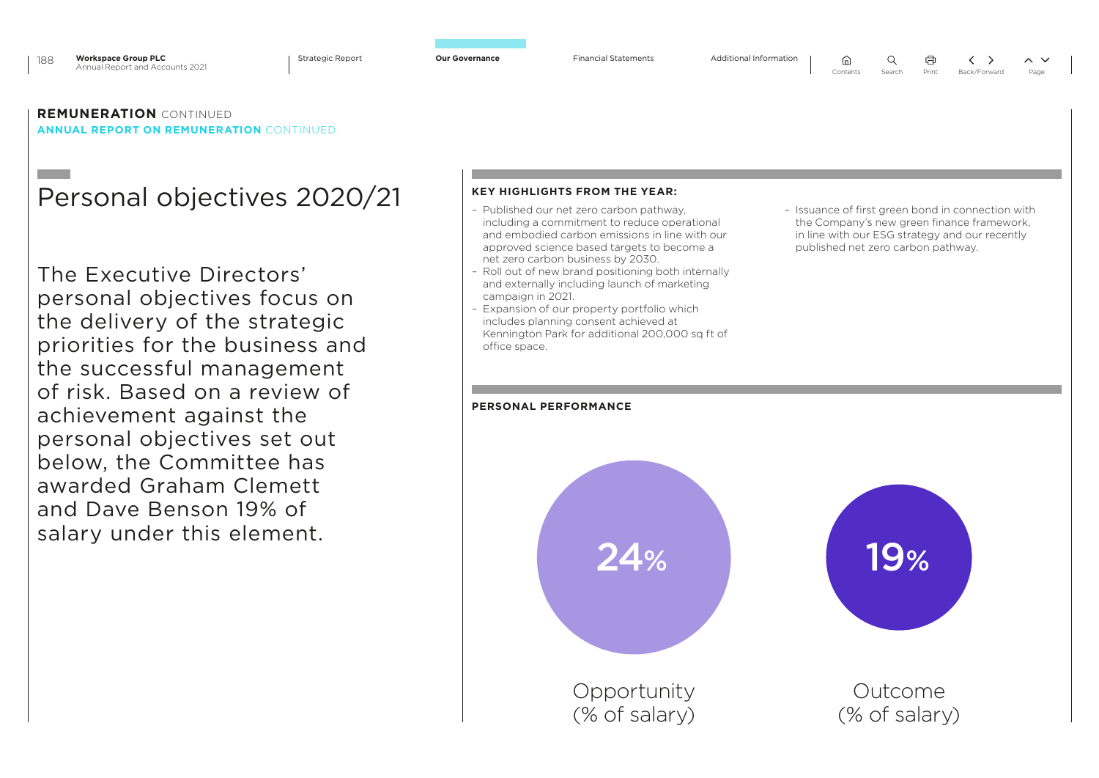### **REMUNERATION** CONTINUED **ANNUAL REPORT ON REMUNERATION** CONTINUED

## Personal objectives 2020/21

The Executive Directors' personal objectives focus on the delivery of the strategic priorities for the business and the successful management of risk. Based on a review of achievement against the personal objectives set out below, the Committee has awarded Graham Clemett and Dave Benson 19% of salary under this element.

### **KEY HIGHLIGHTS FROM THE YEAR:**

- Published our net zero carbon pathway, including a commitment to reduce operational and embodied carbon emissions in line with our approved science based targets to become a net zero carbon business by 2030.
- Roll out of new brand positioning both internally and externally including launch of marketing campaign in 2021.
- Expansion of our property portfolio which includes planning consent achieved at Kennington Park for additional 200,000 sq ft of office space.
- Issuance of first green bond in connection with the Company's new green finance framework, in line with our ESG strategy and our recently published net zero carbon pathway.

 $\Omega$ 

## **PERSONAL PERFORMANCE**

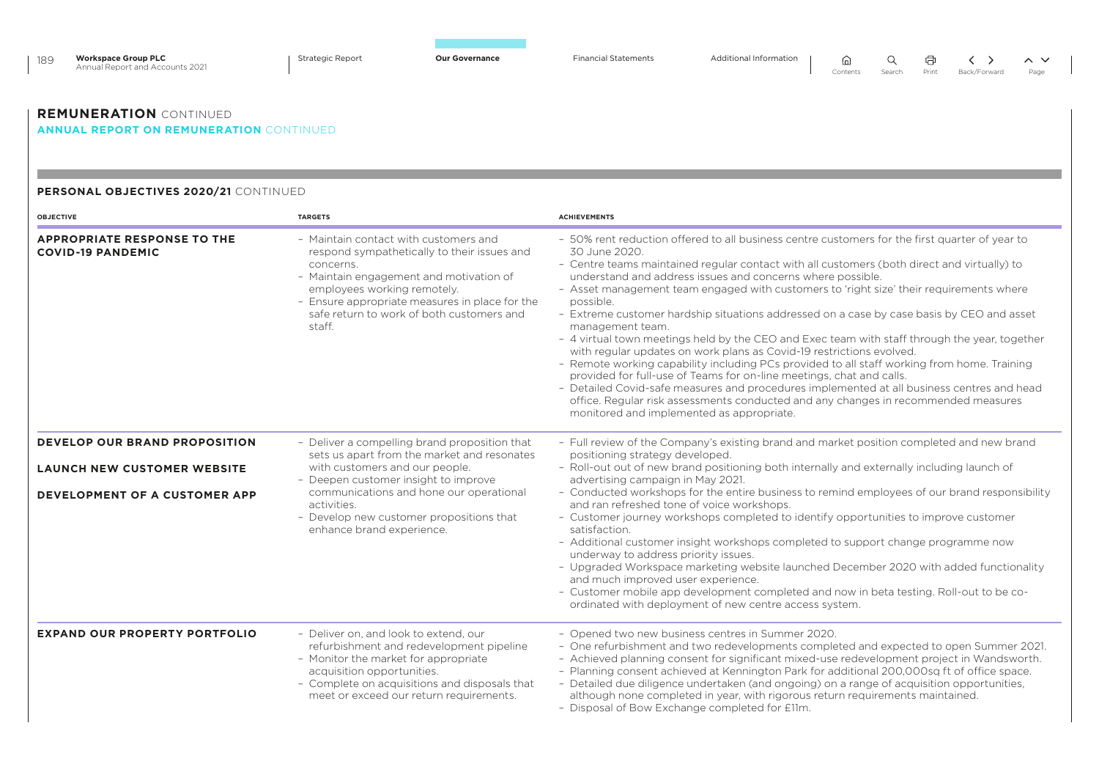| <b>Workspace Group PLC</b><br>189<br>Annual Report and Accounts 2021            | <b>Strategic Report</b><br><b>Our Governance</b>                                                                                                                                                                                                                                     | <b>Financial Statements</b><br>Additional Information<br>Q<br>冚<br>$\rightarrow$<br>$\sim~\sim$<br>Contents<br>Search<br>Print<br>Back/Forward<br>Page                                                                                                                                                                                                                                                                                                                                                                                                                                                                                                                                                                                                                                                                                                                                                                                                                                                                                                                                 |  |  |  |  |  |  |
|---------------------------------------------------------------------------------|--------------------------------------------------------------------------------------------------------------------------------------------------------------------------------------------------------------------------------------------------------------------------------------|----------------------------------------------------------------------------------------------------------------------------------------------------------------------------------------------------------------------------------------------------------------------------------------------------------------------------------------------------------------------------------------------------------------------------------------------------------------------------------------------------------------------------------------------------------------------------------------------------------------------------------------------------------------------------------------------------------------------------------------------------------------------------------------------------------------------------------------------------------------------------------------------------------------------------------------------------------------------------------------------------------------------------------------------------------------------------------------|--|--|--|--|--|--|
| <b>REMUNERATION CONTINUED</b><br><b>ANNUAL REPORT ON REMUNERATION CONTINUED</b> |                                                                                                                                                                                                                                                                                      |                                                                                                                                                                                                                                                                                                                                                                                                                                                                                                                                                                                                                                                                                                                                                                                                                                                                                                                                                                                                                                                                                        |  |  |  |  |  |  |
| PERSONAL OBJECTIVES 2020/21 CONTINUED                                           |                                                                                                                                                                                                                                                                                      |                                                                                                                                                                                                                                                                                                                                                                                                                                                                                                                                                                                                                                                                                                                                                                                                                                                                                                                                                                                                                                                                                        |  |  |  |  |  |  |
| <b>OBJECTIVE</b>                                                                | <b>TARGETS</b>                                                                                                                                                                                                                                                                       | <b>ACHIEVEMENTS</b>                                                                                                                                                                                                                                                                                                                                                                                                                                                                                                                                                                                                                                                                                                                                                                                                                                                                                                                                                                                                                                                                    |  |  |  |  |  |  |
| <b>APPROPRIATE RESPONSE TO THE</b><br><b>COVID-19 PANDEMIC</b>                  | - Maintain contact with customers and<br>respond sympathetically to their issues and<br>concerns.<br>- Maintain engagement and motivation of<br>employees working remotely.<br>- Ensure appropriate measures in place for the<br>safe return to work of both customers and<br>staff. | - 50% rent reduction offered to all business centre customers for the first quarter of year to<br>30 June 2020.<br>- Centre teams maintained regular contact with all customers (both direct and virtually) to<br>understand and address issues and concerns where possible.<br>- Asset management team engaged with customers to 'right size' their requirements where<br>possible.<br>- Extreme customer hardship situations addressed on a case by case basis by CEO and asset<br>management team.<br>- 4 virtual town meetings held by the CEO and Exec team with staff through the year, together<br>with regular updates on work plans as Covid-19 restrictions evolved.<br>- Remote working capability including PCs provided to all staff working from home. Training<br>provided for full-use of Teams for on-line meetings, chat and calls.<br>- Detailed Covid-safe measures and procedures implemented at all business centres and head<br>office. Regular risk assessments conducted and any changes in recommended measures<br>monitored and implemented as appropriate. |  |  |  |  |  |  |
| DEVELOP OUR BRAND PROPOSITION                                                   | - Deliver a compelling brand proposition that<br>sets us apart from the market and resonates                                                                                                                                                                                         | - Full review of the Company's existing brand and market position completed and new brand<br>positioning strategy developed.<br>- Roll-out out of new brand positioning both internally and externally including launch of<br>advertising campaign in May 2021.                                                                                                                                                                                                                                                                                                                                                                                                                                                                                                                                                                                                                                                                                                                                                                                                                        |  |  |  |  |  |  |
| <b>LAUNCH NEW CUSTOMER WEBSITE</b>                                              | with customers and our people.<br>- Deepen customer insight to improve                                                                                                                                                                                                               |                                                                                                                                                                                                                                                                                                                                                                                                                                                                                                                                                                                                                                                                                                                                                                                                                                                                                                                                                                                                                                                                                        |  |  |  |  |  |  |
| <b>DEVELOPMENT OF A CUSTOMER APP</b>                                            | communications and hone our operational<br>activities.<br>- Develop new customer propositions that<br>enhance brand experience.                                                                                                                                                      | - Conducted workshops for the entire business to remind employees of our brand responsibility<br>and ran refreshed tone of voice workshops.<br>- Customer journey workshops completed to identify opportunities to improve customer<br>satisfaction.<br>- Additional customer insight workshops completed to support change programme now<br>underway to address priority issues.<br>- Upgraded Workspace marketing website launched December 2020 with added functionality<br>and much improved user experience.<br>- Customer mobile app development completed and now in beta testing. Roll-out to be co-<br>ordinated with deployment of new centre access system.                                                                                                                                                                                                                                                                                                                                                                                                                 |  |  |  |  |  |  |
| <b>EXPAND OUR PROPERTY PORTFOLIO</b>                                            | - Deliver on, and look to extend, our<br>refurbishment and redevelopment pipeline<br>- Monitor the market for appropriate<br>acquisition opportunities.<br>- Complete on acquisitions and disposals that<br>meet or exceed our return requirements.                                  | - Opened two new business centres in Summer 2020.<br>- One refurbishment and two redevelopments completed and expected to open Summer 2021.<br>- Achieved planning consent for significant mixed-use redevelopment project in Wandsworth.<br>- Planning consent achieved at Kennington Park for additional 200,000sq ft of office space.<br>- Detailed due diligence undertaken (and ongoing) on a range of acquisition opportunities,<br>although none completed in year, with rigorous return requirements maintained.<br>- Disposal of Bow Exchange completed for £11m.                                                                                                                                                                                                                                                                                                                                                                                                                                                                                                             |  |  |  |  |  |  |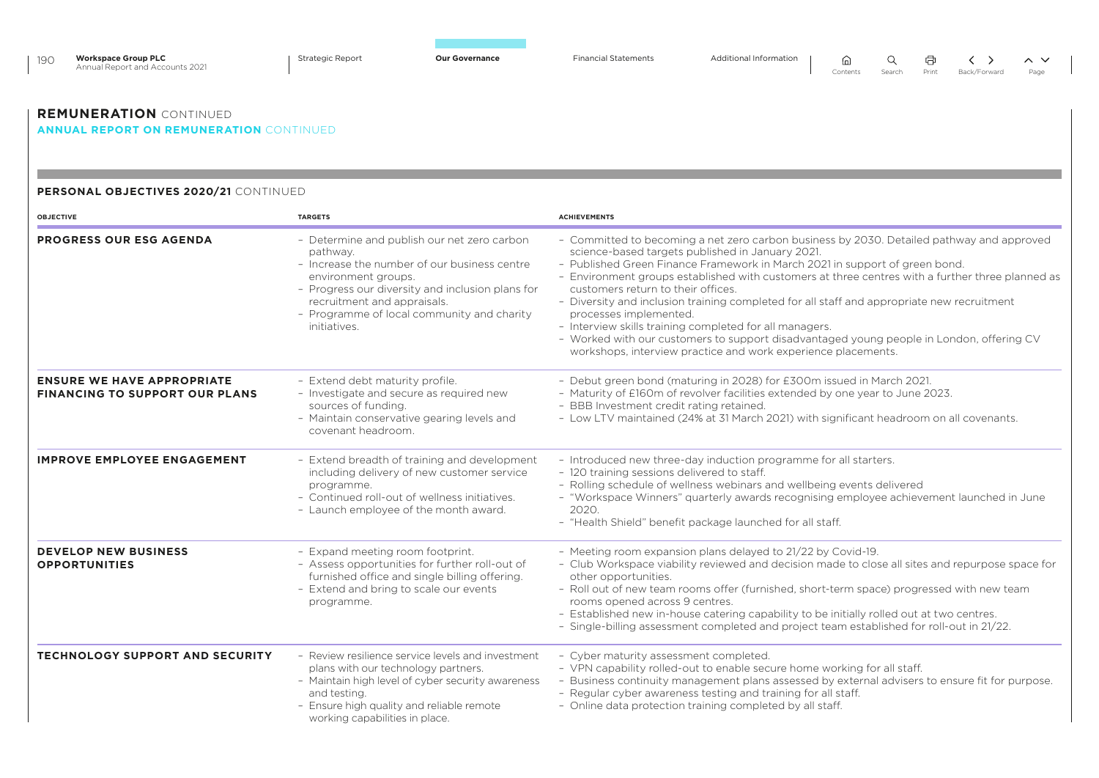| <b>Workspace Group PLC</b><br>190<br>Annual Report and Accounts 2021            | <b>Strategic Report</b><br><b>Our Governance</b>                                                                                                                                                                                                                                | <b>Financial Statements</b><br>Additional Information<br>Q<br>⋒<br>$\sim~\vee$<br>Print<br>Contents<br>Search<br>Back/Forward<br>Page                                                                                                                                                                                                                                                                                                                                                                                                                                                                                                                                                                                  |
|---------------------------------------------------------------------------------|---------------------------------------------------------------------------------------------------------------------------------------------------------------------------------------------------------------------------------------------------------------------------------|------------------------------------------------------------------------------------------------------------------------------------------------------------------------------------------------------------------------------------------------------------------------------------------------------------------------------------------------------------------------------------------------------------------------------------------------------------------------------------------------------------------------------------------------------------------------------------------------------------------------------------------------------------------------------------------------------------------------|
| <b>REMUNERATION CONTINUED</b><br><b>ANNUAL REPORT ON REMUNERATION CONTINUED</b> |                                                                                                                                                                                                                                                                                 |                                                                                                                                                                                                                                                                                                                                                                                                                                                                                                                                                                                                                                                                                                                        |
| PERSONAL OBJECTIVES 2020/21 CONTINUED                                           |                                                                                                                                                                                                                                                                                 |                                                                                                                                                                                                                                                                                                                                                                                                                                                                                                                                                                                                                                                                                                                        |
| <b>OBJECTIVE</b>                                                                | <b>TARGETS</b>                                                                                                                                                                                                                                                                  | <b>ACHIEVEMENTS</b>                                                                                                                                                                                                                                                                                                                                                                                                                                                                                                                                                                                                                                                                                                    |
| <b>PROGRESS OUR ESG AGENDA</b>                                                  | - Determine and publish our net zero carbon<br>pathway.<br>- Increase the number of our business centre<br>environment groups.<br>- Progress our diversity and inclusion plans for<br>recruitment and appraisals.<br>- Programme of local community and charity<br>initiatives. | - Committed to becoming a net zero carbon business by 2030. Detailed pathway and approved<br>science-based targets published in January 2021.<br>- Published Green Finance Framework in March 2021 in support of green bond.<br>- Environment groups established with customers at three centres with a further three planned as<br>customers return to their offices.<br>- Diversity and inclusion training completed for all staff and appropriate new recruitment<br>processes implemented.<br>- Interview skills training completed for all managers.<br>- Worked with our customers to support disadvantaged young people in London, offering CV<br>workshops, interview practice and work experience placements. |
| <b>ENSURE WE HAVE APPROPRIATE</b><br><b>FINANCING TO SUPPORT OUR PLANS</b>      | - Extend debt maturity profile.<br>- Investigate and secure as required new<br>sources of funding.<br>- Maintain conservative gearing levels and<br>covenant headroom.                                                                                                          | - Debut green bond (maturing in 2028) for £300m issued in March 2021.<br>- Maturity of £160m of revolver facilities extended by one year to June 2023.<br>- BBB Investment credit rating retained.<br>- Low LTV maintained (24% at 31 March 2021) with significant headroom on all covenants.                                                                                                                                                                                                                                                                                                                                                                                                                          |
| <b>IMPROVE EMPLOYEE ENGAGEMENT</b>                                              | - Extend breadth of training and development<br>including delivery of new customer service<br>programme.<br>- Continued roll-out of wellness initiatives.<br>- Launch employee of the month award.                                                                              | - Introduced new three-day induction programme for all starters.<br>- 120 training sessions delivered to staff.<br>- Rolling schedule of wellness webinars and wellbeing events delivered<br>- "Workspace Winners" quarterly awards recognising employee achievement launched in June<br>2020.<br>- "Health Shield" benefit package launched for all staff.                                                                                                                                                                                                                                                                                                                                                            |
| <b>DEVELOP NEW BUSINESS</b><br><b>OPPORTUNITIES</b>                             | - Expand meeting room footprint.<br>- Assess opportunities for further roll-out of<br>furnished office and single billing offering.<br>- Extend and bring to scale our events<br>programme.                                                                                     | - Meeting room expansion plans delayed to 21/22 by Covid-19.<br>- Club Workspace viability reviewed and decision made to close all sites and repurpose space for<br>other opportunities.<br>- Roll out of new team rooms offer (furnished, short-term space) progressed with new team<br>rooms opened across 9 centres.<br>- Established new in-house catering capability to be initially rolled out at two centres.<br>- Single-billing assessment completed and project team established for roll-out in 21/22.                                                                                                                                                                                                      |
| <b>TECHNOLOGY SUPPORT AND SECURITY</b>                                          | - Review resilience service levels and investment<br>plans with our technology partners.<br>- Maintain high level of cyber security awareness<br>and testing.<br>- Ensure high quality and reliable remote<br>working capabilities in place.                                    | - Cyber maturity assessment completed.<br>- VPN capability rolled-out to enable secure home working for all staff.<br>- Business continuity management plans assessed by external advisers to ensure fit for purpose.<br>- Regular cyber awareness testing and training for all staff.<br>- Online data protection training completed by all staff.                                                                                                                                                                                                                                                                                                                                                                    |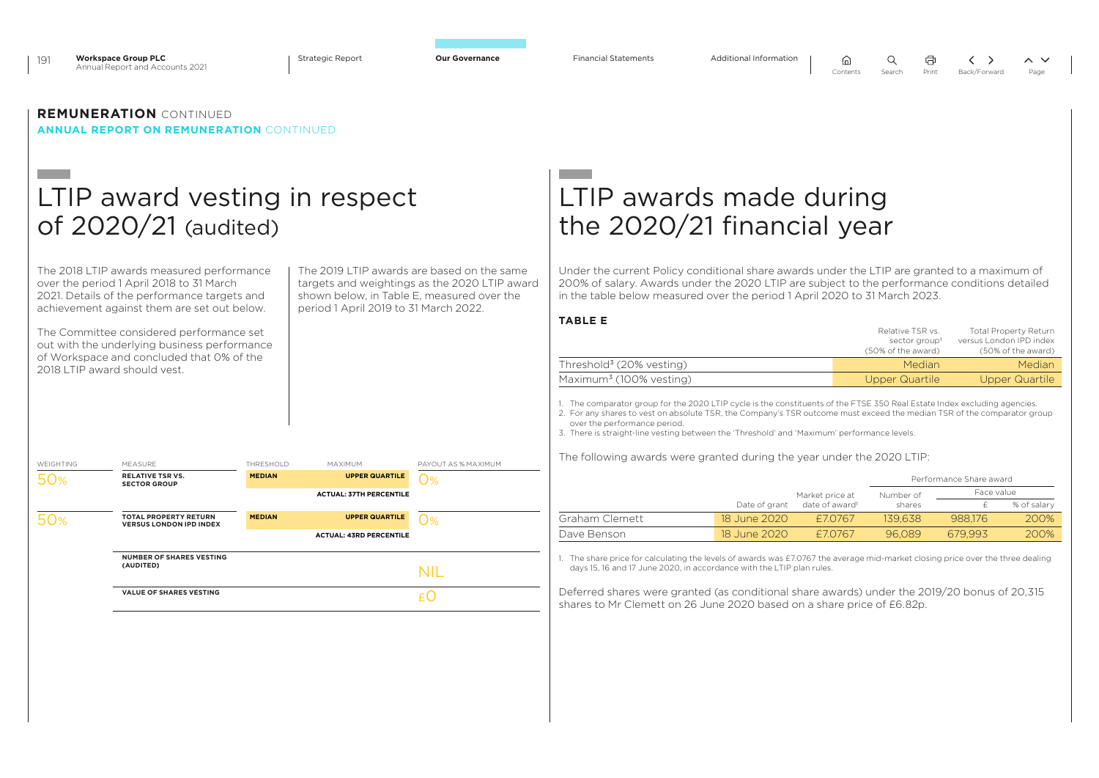



### **REMUNERATION** CONTINUED **ANNUAL REPORT ON REMUNERATION** CONTINUED

## LTIP award vesting in respect of 2020/21 (audited)

The 2018 LTIP awards measured performance over the period 1 April 2018 to 31 March 2021. Details of the performance targets and achievement against them are set out below.

The Committee considered performance set out with the underlying business performance of Workspace and concluded that 0% of the 2018 LTIP award should vest.

The 2019 LTIP awards are based on the same targets and weightings as the 2020 LTIP award shown below, in Table E, measured over the period 1 April 2019 to 31 March 2022.

### WEIGHTING MEASURE THRESHOLD MAXIMUM PAYOUT AS % MAXIMUM 50% **RELATIVE TSR VS. SECTOR GROUP MEDIAN UPPER QUARTILE ACTUAL: 37TH PERCENTILE**  $\Omega$ % 50% **TOTAL PROPERTY RETURN VERSUS LONDON IPD INDEX MEDIAN UPPER QUARTILE ACTUAL: 43RD PERCENTILE**  $\Omega$ % **NUMBER OF SHARES VESTING (AUDITED)** NIL **VALUE OF SHARES VESTING**

## LTIP awards made during the 2020/21 financial year

Under the current Policy conditional share awards under the LTIP are granted to a maximum of 200% of salary. Awards under the 2020 LTIP are subject to the performance conditions detailed in the table below measured over the period 1 April 2020 to 31 March 2023.

 $\bigcap$ 

 $\Omega$ 

**TABLE E**

|                                      | Relative TSR vs.<br>sector group <sup>1</sup><br>(50% of the award) | <b>Total Property Return</b><br>versus London IPD index<br>(50% of the award) |
|--------------------------------------|---------------------------------------------------------------------|-------------------------------------------------------------------------------|
| Threshold <sup>3</sup> (20% vesting) | Median                                                              | Median                                                                        |
| Maximum <sup>3</sup> (100% vesting)  | Upper Quartile                                                      | Upper Quartile                                                                |
|                                      |                                                                     |                                                                               |

1. The comparator group for the 2020 LTIP cycle is the constituents of the FTSE 350 Real Estate Index excluding agencies.

2. For any shares to vest on absolute TSR, the Company's TSR outcome must exceed the median TSR of the comparator group over the performance period.

3. There is straight-line vesting between the 'Threshold' and 'Maximum' performance levels.

The following awards were granted during the year under the 2020 LTIP:

|                |               |                            |           | Performance Share award |             |
|----------------|---------------|----------------------------|-----------|-------------------------|-------------|
|                |               | Market price at            | Number of | Face value              |             |
|                | Date of grant | date of award <sup>1</sup> | shares    |                         | % of salary |
| Graham Clemett | 18 June 2020  | £70767                     | 139.638   | 988.176                 | 200%        |
| Dave Benson    | 18 June 2020  | £70767                     | 96.089    | 679.993                 | 200%        |

1. The share price for calculating the levels of awards was £7.0767 the average mid-market closing price over the three dealing days 15, 16 and 17 June 2020, in accordance with the LTIP plan rules.

Deferred shares were granted (as conditional share awards) under the 2019/20 bonus of 20,315 shares to Mr Clemett on 26 June 2020 based on a share price of £6.82p.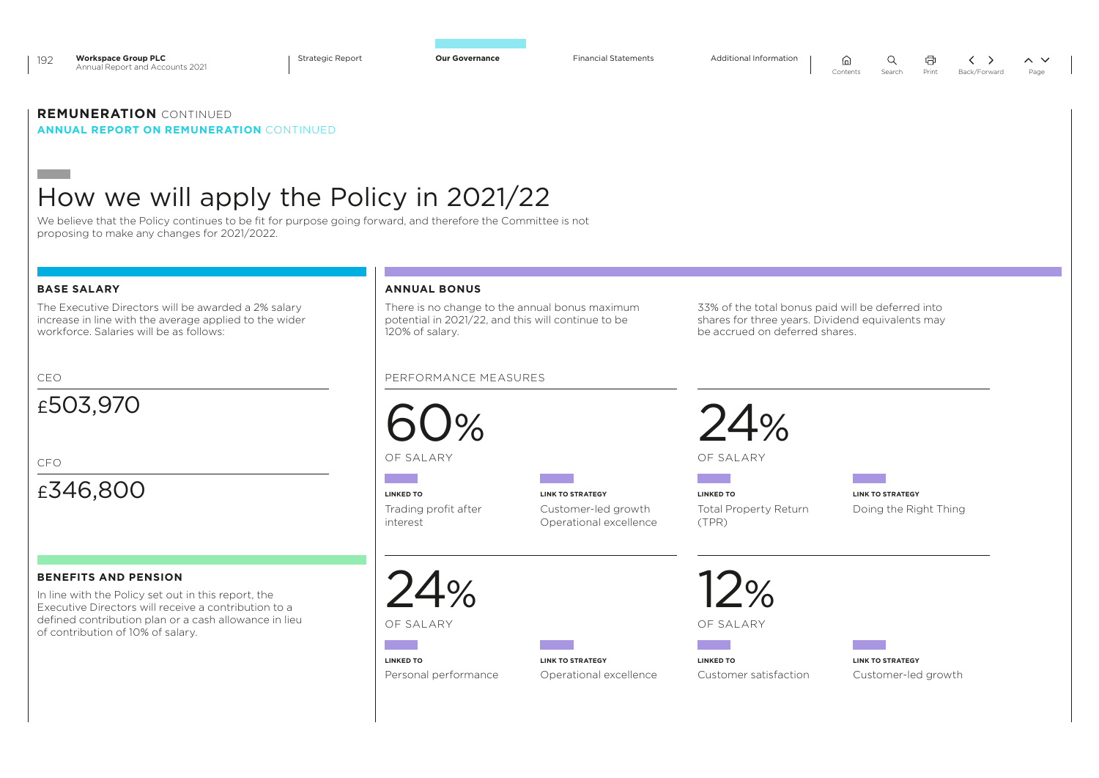

192 **Workspace Group PLC** Annual Report and Accounts 2021

Strategic Report **Our Governance** Financial Statements Additional Information

 $\sim$   $\sim$ 

## **REMUNERATION** CONTINUED

**ANNUAL REPORT ON REMUNERATION** CONTINUED

## How we will apply the Policy in 2021/22

We believe that the Policy continues to be fit for purpose going forward, and therefore the Committee is not proposing to make any changes for 2021/2022.

### **BASE SALARY**

The Executive Directors will be awarded a 2% salary increase in line with the average applied to the wider workforce. Salaries will be as follows:

## £503,970

 $CFO$ 

## £346,800

### **BENEFITS AND PENSION**

In line with the Policy set out in this report, the Executive Directors will receive a contribution to a defined contribution plan or a cash allowance in lieu of contribution of 10% of salary.

### **ANNUAL BONUS**

There is no change to the annual bonus maximum potential in 2021/22, and this will continue to be 120% of salary.

### CEO PERFORMANCE MEASURES



OF SALARY

**The Co** 

**LINKED TO** Trading profit after interest

**LINK TO STRATEGY** Customer-led growth Operational excellence



**LINKED TO** Total Property Return (TPR)

**LINK TO STRATEGY** Doing the Right Thing

 $24%$ 

OF SALARY

**Contract** 

**LINKED TO** Personal performance **LINK TO STRATEGY** Operational excellence 12%

OF SALARY

Customer satisfaction

**LINKED TO**

33% of the total bonus paid will be deferred into shares for three years. Dividend equivalents may

be accrued on deferred shares.

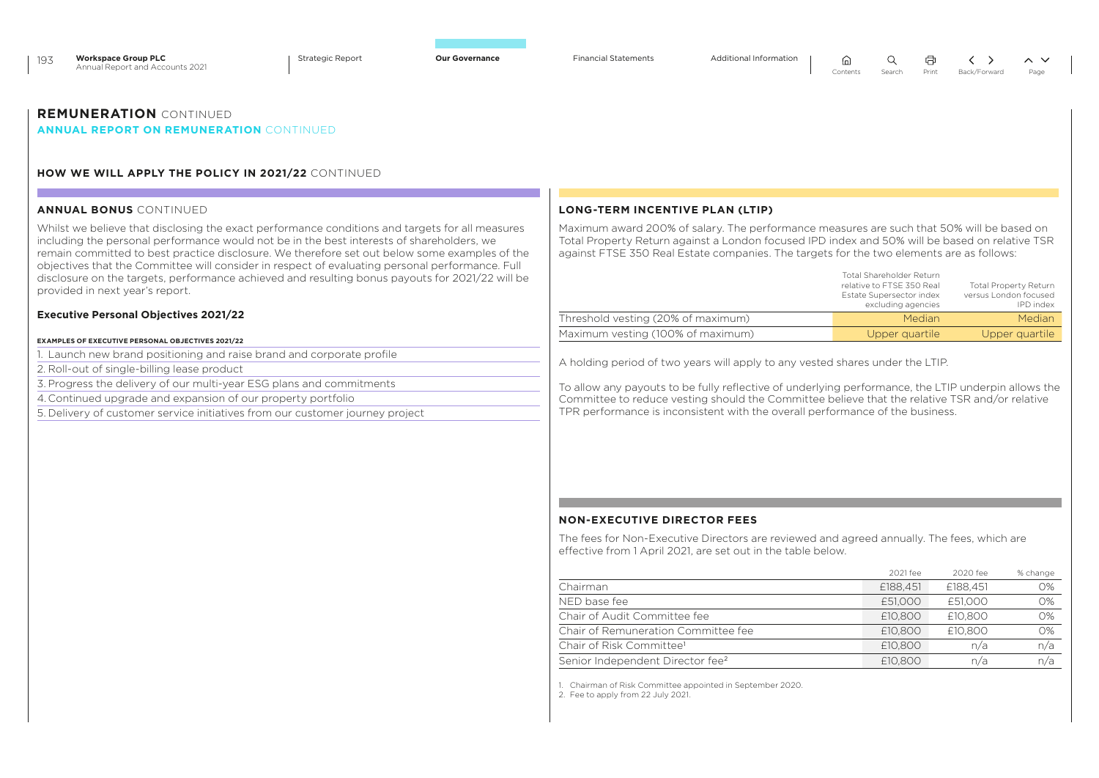|                                                                                                                                                                                                                                                                                                                                                                                                  | Back/Forward<br>Page                                                                                                                                                                                                                                                                    |
|--------------------------------------------------------------------------------------------------------------------------------------------------------------------------------------------------------------------------------------------------------------------------------------------------------------------------------------------------------------------------------------------------|-----------------------------------------------------------------------------------------------------------------------------------------------------------------------------------------------------------------------------------------------------------------------------------------|
| <b>REMUNERATION</b> CONTINUED<br><b>ANNUAL REPORT ON REMUNERATION CONTINUED</b>                                                                                                                                                                                                                                                                                                                  |                                                                                                                                                                                                                                                                                         |
| <b>HOW WE WILL APPLY THE POLICY IN 2021/22 CONTINUED</b>                                                                                                                                                                                                                                                                                                                                         |                                                                                                                                                                                                                                                                                         |
| <b>ANNUAL BONUS CONTINUED</b>                                                                                                                                                                                                                                                                                                                                                                    | LONG-TERM INCENTIVE PLAN (LTIP)                                                                                                                                                                                                                                                         |
| Whilst we believe that disclosing the exact performance conditions and targets for all measures<br>including the personal performance would not be in the best interests of shareholders, we<br>remain committed to best practice disclosure. We therefore set out below some examples of the<br>objectives that the Committee will consider in respect of evaluating personal performance. Full | Maximum award 200% of salary. The performance measures are such that 50% will be based on<br>Total Property Return against a London focused IPD index and 50% will be based on relative TSR<br>against FTSE 350 Real Estate companies. The targets for the two elements are as follows: |

|                                    | <b>Total Shareholder Return</b><br>relative to FTSE 350 Real<br>Estate Supersector index<br>excluding agencies | <b>Total Property Return</b><br>versus London focused<br>IPD index |
|------------------------------------|----------------------------------------------------------------------------------------------------------------|--------------------------------------------------------------------|
| Threshold vesting (20% of maximum) | Median                                                                                                         | Median                                                             |
| Maximum vesting (100% of maximum)  | Upper quartile                                                                                                 | Upper quartile                                                     |

 $\Omega$ 

介

量

 $\langle \rangle$ 

 $\sim$   $\vee$ 

A holding period of two years will apply to any vested shares under the LTIP.

To allow any payouts to be fully reflective of underlying performance, the LTIP underpin allows the Committee to reduce vesting should the Committee believe that the relative TSR and/or relative TPR performance is inconsistent with the overall performance of the business.

### **NON-EXECUTIVE DIRECTOR FEES**

The fees for Non-Executive Directors are reviewed and agreed annually. The fees, which are effective from 1 April 2021, are set out in the table below.

|                                              | 2021 fee | 2020 fee | % change |
|----------------------------------------------|----------|----------|----------|
| Chairman                                     | £188,451 | £188,451 | $O\%$    |
| NED base fee                                 | £51.000  | £51,000  | O%       |
| Chair of Audit Committee fee                 | £10,800  | £10,800  | $O\%$    |
| Chair of Remuneration Committee fee          | £10,800  | £10,800  | O%       |
| Chair of Risk Committee <sup>1</sup>         | £10,800  | n/a      | n/a      |
| Senior Independent Director fee <sup>2</sup> | £10,800  | n/a      | n/a      |

1. Chairman of Risk Committee appointed in September 2020.

2. Fee to apply from 22 July 2021.

objectives that the Committee will consider in respect of evaluating personal performance. Full disclosure on the targets, performance achieved and resulting bonus payouts for 2021/22 will be provided in next year's report.

### **Executive Personal Objectives 2021/22**

193 **Workspace Group PLC** Annual Report and Accounts 2021

### **EXAMPLES OF EXECUTIVE PERSONAL OBJECTIVES 2021/22**

1. Launch new brand positioning and raise brand and corporate profile

2. Roll-out of single-billing lease product

3. Progress the delivery of our multi-year ESG plans and commitments

4. Continued upgrade and expansion of our property portfolio

5. Delivery of customer service initiatives from our customer journey project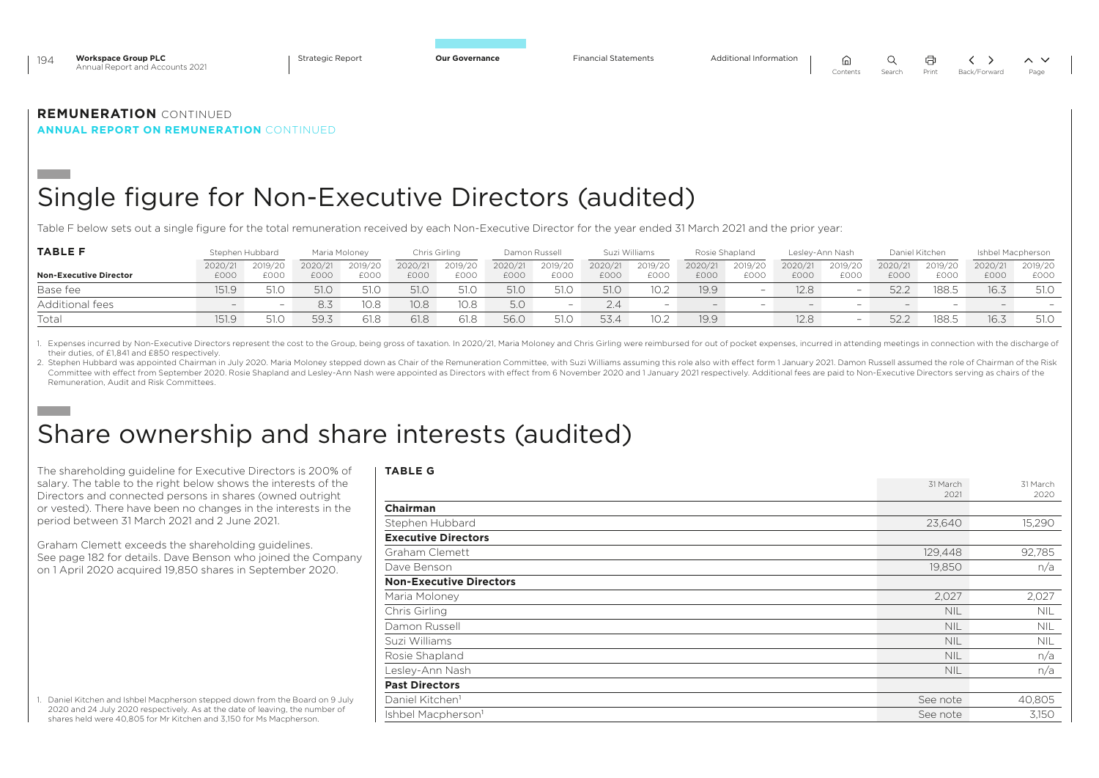| 194 | <b>Workspace Group PLC</b><br>Annual Report and Accounts 2021 | <b>Strategic Report</b> | <b>Our Governance</b> | <b>Financial Statements</b> |          |        |       |                   |  |
|-----|---------------------------------------------------------------|-------------------------|-----------------------|-----------------------------|----------|--------|-------|-------------------|--|
|     |                                                               |                         |                       |                             | Contents | Search | Print | Back/Forward Page |  |
|     |                                                               |                         |                       |                             |          |        |       |                   |  |

**ANNUAL REPORT ON REMUNERATION** CONTINUED

## Single figure for Non-Executive Directors (audited)

Table F below sets out a single figure for the total remuneration received by each Non-Executive Director for the year ended 31 March 2021 and the prior year:

| <b>TABLE F</b>                |         | Stephen Hubbard | Maria Moloney |             |         | Chris Girling | Damon Russell |         |         | Suzi Williams | Rosie Shapland |         |                          | Leslev-Ann Nash          |                          | Daniel Kitchen           |         | Ishbel Macpherson        |
|-------------------------------|---------|-----------------|---------------|-------------|---------|---------------|---------------|---------|---------|---------------|----------------|---------|--------------------------|--------------------------|--------------------------|--------------------------|---------|--------------------------|
|                               | 2020/21 | 2019/20         | 2020/21       | 2019/20     | 2020/21 | 2019/20       | 2020/21       | 2019/20 | 2020/21 | 2019/20       | 2020/21        | 2019/20 | 2020/21                  | 2019/20                  | 2020/21                  | 2019/20                  | 2020/21 | 2019/20                  |
| <b>Non-Executive Director</b> | £000    | <b>EOOO</b>     | £000          | <b>EOOC</b> | £000    | £000          | £000          | £000    | £000    | £000          | £000           | £000    | £000                     | £000                     | £000                     | £000                     | £000    | £000                     |
| Base fee                      | 151.9   | 51.0            | 51.0          | 51.0        | 51.0    | 51.C          | 51.0          | 51.0    | 51.0    | 10.2          | 19.9           |         | 12.81                    | $\overline{\phantom{0}}$ | 52.2                     | 188.5                    | 16.3    | 51.0                     |
| Additional fees               | $-$     |                 | 8.3           | 10.8        | 10.8    | 10.8          | 5.0           |         | 2.4     |               |                |         | $\overline{\phantom{0}}$ | $\overline{\phantom{0}}$ | $\overline{\phantom{0}}$ | $\overline{\phantom{0}}$ | $-$     | $\overline{\phantom{0}}$ |
| Total                         | 151.9   | - 51.0          | 59.3          | 61.8        | 61.8    | 61.8          | 56.0          | 51.C    | 53.4    | 10.2          | 19.9           |         | 12.8                     | -                        | 52.4                     | 188.5                    | 16.3    | 51.0                     |

1. Expenses incurred by Non-Executive Directors represent the cost to the Group, being gross of taxation. In 2020/21, Maria Moloney and Chris Girling were reimbursed for out of pocket expenses, incurred in attending meetin their duties, of £1,841 and £850 respectively.

2. Stephen Hubbard was appointed Chairman in July 2020. Maria Moloney stepped down as Chair of the Remuneration Committee, with Suzi Williams assuming this role also with effect form 1 January 2021, Damon Russell assumed t Committee with effect from September 2020. Rosie Shapland and Lesley-Ann Nash were appointed as Directors with effect from 6 November 2020 and 1 January 2021 respectively. Additional fees are paid to Non-Executive Director Remuneration, Audit and Risk Committees.

## Share ownership and share interests (audited)

The shareholding guideline for Executive Directors is 200% of salary. The table to the right below shows the interests of the Directors and connected persons in shares (owned outright or vested). There have been no changes in the interests in the period between 31 March 2021 and 2 June 2021.

Graham Clemett exceeds the shareholding guidelines. See page 182 for details. Dave Benson who joined the Company on 1 April 2020 acquired 19,850 shares in September 2020.

| 1. Daniel Kitchen and Ishbel Macpherson stepped down from the Board on 9 July |
|-------------------------------------------------------------------------------|
| 2020 and 24 July 2020 respectively. As at the date of leaving, the number of  |
| shares held were 40.805 for Mr Kitchen and 3.150 for Ms Macpherson.           |

| <b>TABLE G</b>                 |                  |                  |
|--------------------------------|------------------|------------------|
|                                | 31 March<br>2021 | 31 March<br>2020 |
| <b>Chairman</b>                |                  |                  |
| Stephen Hubbard                | 23,640           | 15,290           |
| <b>Executive Directors</b>     |                  |                  |
| Graham Clemett                 | 129,448          | 92,785           |
| Dave Benson                    | 19,850           | n/a              |
| <b>Non-Executive Directors</b> |                  |                  |
| Maria Moloney                  | 2,027            | 2,027            |
| Chris Girling                  | <b>NIL</b>       | <b>NIL</b>       |
| Damon Russell                  | <b>NIL</b>       | <b>NIL</b>       |
| Suzi Williams                  | <b>NIL</b>       | <b>NIL</b>       |
| Rosie Shapland                 | <b>NIL</b>       | n/a              |
| Lesley-Ann Nash                | <b>NIL</b>       | n/a              |
| <b>Past Directors</b>          |                  |                  |
| Daniel Kitchen <sup>1</sup>    | See note         | 40,805           |
| Ishbel Macpherson <sup>1</sup> | See note         | 3,150            |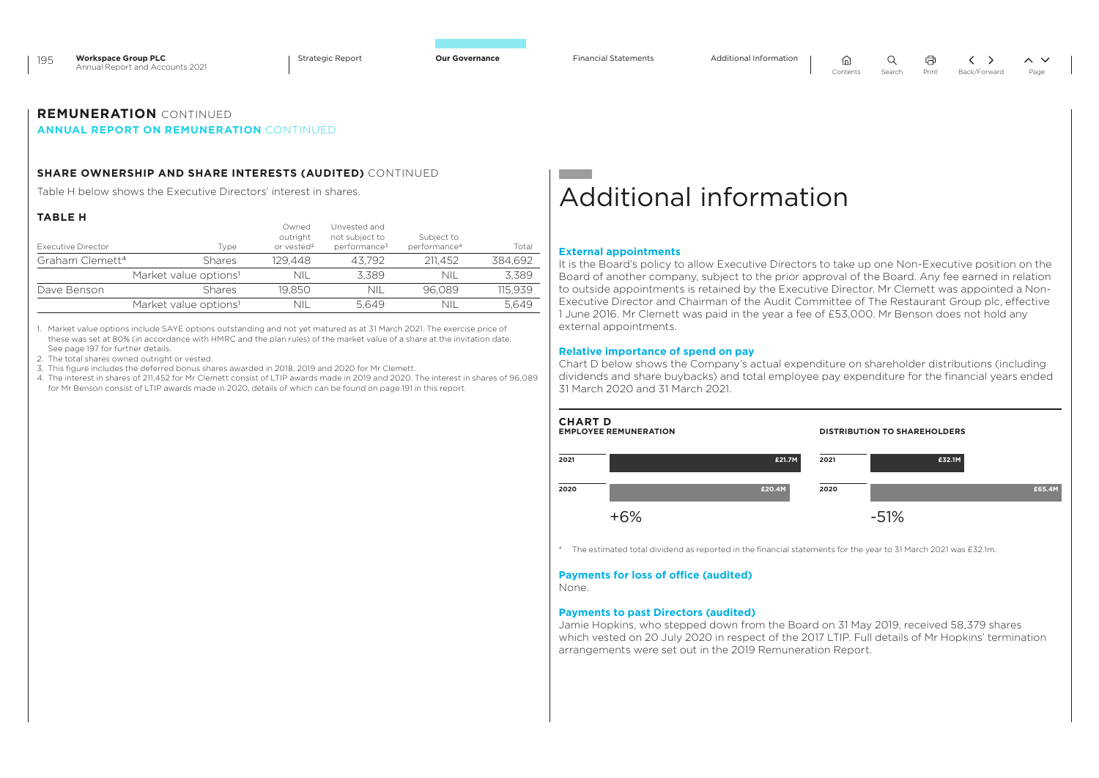$\Omega$ 

。

量

## **REMUNERATION** CONTINUED

### **ANNUAL REPORT ON REMUNERATION** CONTINUED

### **SHARE OWNERSHIP AND SHARE INTERESTS (AUDITED)** CONTINUED

Table H below shows the Executive Directors' interest in shares.

### **TABLE H**

| Executive Director          | Type                              | Owned<br>outright<br>or vested <sup>2</sup> | Unvested and<br>not subject to<br>performance <sup>3</sup> | Subject to<br>performance <sup>4</sup> | Total   |
|-----------------------------|-----------------------------------|---------------------------------------------|------------------------------------------------------------|----------------------------------------|---------|
| Graham Clemett <sup>4</sup> | <b>Shares</b>                     | 129.448                                     | 43.792                                                     | 211.452                                | 384.692 |
|                             | Market value options <sup>1</sup> | NIL                                         | 3.389                                                      | nii                                    | 3.389   |
| Dave Benson                 | <b>Shares</b>                     | 19.850                                      | nil                                                        | 96.089                                 | 115.939 |
|                             | Market value options <sup>1</sup> | nii                                         | 5.649                                                      | NII                                    | 5.649   |

1. Market value options include SAYE options outstanding and not yet matured as at 31 March 2021. The exercise price of these was set at 80% (in accordance with HMRC and the plan rules) of the market value of a share at the invitation date. See page 197 for further details.

2. The total shares owned outright or vested.

3. This figure includes the deferred bonus shares awarded in 2018, 2019 and 2020 for Mr Clemett.

4. The interest in shares of 211,452 for Mr Clemett consist of LTIP awards made in 2019 and 2020. The interest in shares of 96,089 for Mr Benson consist of LTIP awards made in 2020, details of which can be found on page 191 in this report.

## Additional information

#### **External appointments**

It is the Board's policy to allow Executive Directors to take up one Non-Executive position on the Board of another company, subject to the prior approval of the Board. Any fee earned in relation to outside appointments is retained by the Executive Director. Mr Clemett was appointed a Non-Executive Director and Chairman of the Audit Committee of The Restaurant Group plc, effective 1 June 2016. Mr Clemett was paid in the year a fee of £53,000. Mr Benson does not hold any external appointments.

#### **Relative importance of spend on pay**

Chart D below shows the Company's actual expenditure on shareholder distributions (including dividends and share buybacks) and total employee pay expenditure for the financial years ended 31 March 2020 and 31 March 2021.



\* The estimated total dividend as reported in the financial statements for the year to 31 March 2021 was £32.1m.

### **Payments for loss of office (audited)**

None.

### **Payments to past Directors (audited)**

Jamie Hopkins, who stepped down from the Board on 31 May 2019, received 58,379 shares which vested on 20 July 2020 in respect of the 2017 LTIP. Full details of Mr Hopkins' termination arrangements were set out in the 2019 Remuneration Report.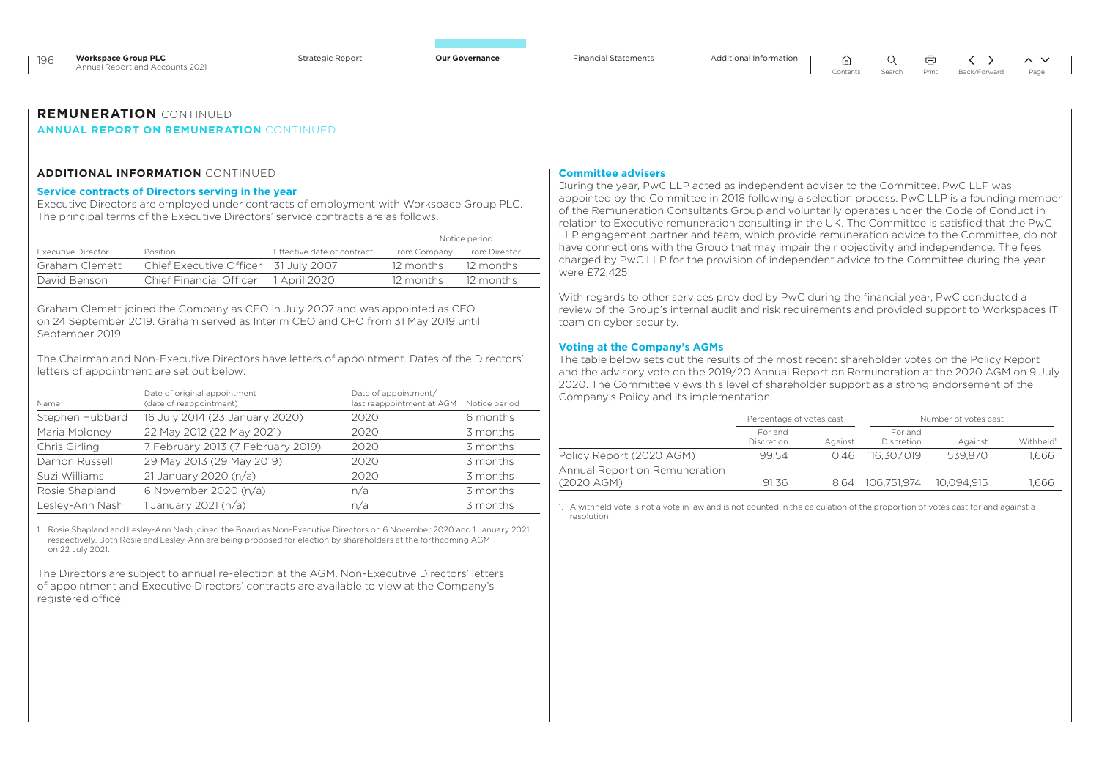$\Omega$ 

⋒

### **REMUNERATION** CONTINUED

### **ANNUAL REPORT ON REMUNERATION** CONTINUED

### **ADDITIONAL INFORMATION** CONTINUED

### **Service contracts of Directors serving in the year**

Executive Directors are employed under contracts of employment with Workspace Group PLC. The principal terms of the Executive Directors' service contracts are as follows.

|                    |                                      |                            |                            | Notice period |
|--------------------|--------------------------------------|----------------------------|----------------------------|---------------|
| Executive Director | Position                             | Effective date of contract | From Company From Director |               |
| Graham Clemett     | Chief Executive Officer 31 July 2007 |                            | 12 months                  | - 12 months   |
| David Benson       | <b>Chief Financial Officer</b>       | 1 April 2020               | 12 months                  | 12 months     |

Graham Clemett joined the Company as CFO in July 2007 and was appointed as CEO on 24 September 2019. Graham served as Interim CEO and CFO from 31 May 2019 until September 2019.

The Chairman and Non-Executive Directors have letters of appointment. Dates of the Directors' letters of appointment are set out below:

| Name            | Date of original appointment<br>(date of reappointment) | Date of appointment/<br>last reappointment at AGM Notice period |          |
|-----------------|---------------------------------------------------------|-----------------------------------------------------------------|----------|
| Stephen Hubbard | 16 July 2014 (23 January 2020)                          | 2020                                                            | 6 months |
| Maria Moloney   | 22 May 2012 (22 May 2021)                               | 2020                                                            | 3 months |
| Chris Girling   | 7 February 2013 (7 February 2019)                       | 2020                                                            | 3 months |
| Damon Russell   | 29 May 2013 (29 May 2019)                               | 2020                                                            | 3 months |
| Suzi Williams   | 21 January 2020 (n/a)                                   | 2020                                                            | 3 months |
| Rosie Shapland  | 6 November 2020 (n/a)                                   | n/a                                                             | 3 months |
| Lesley-Ann Nash | 1 January 2021 (n/a)                                    | n/a                                                             | 3 months |

1. Rosie Shapland and Lesley-Ann Nash joined the Board as Non-Executive Directors on 6 November 2020 and 1 January 2021 respectively. Both Rosie and Lesley-Ann are being proposed for election by shareholders at the forthcoming AGM on 22 July 2021.

The Directors are subject to annual re-election at the AGM. Non-Executive Directors' letters of appointment and Executive Directors' contracts are available to view at the Company's registered office.

### **Committee advisers**

During the year, PwC LLP acted as independent adviser to the Committee. PwC LLP was appointed by the Committee in 2018 following a selection process. PwC LLP is a founding member of the Remuneration Consultants Group and voluntarily operates under the Code of Conduct in relation to Executive remuneration consulting in the UK. The Committee is satisfied that the PwC LLP engagement partner and team, which provide remuneration advice to the Committee, do not have connections with the Group that may impair their objectivity and independence. The fees charged by PwC LLP for the provision of independent advice to the Committee during the year were £72,425.

With regards to other services provided by PwC during the financial year, PwC conducted a review of the Group's internal audit and risk requirements and provided support to Workspaces IT team on cyber security.

### **Voting at the Company's AGMs**

The table below sets out the results of the most recent shareholder votes on the Policy Report and the advisory vote on the 2019/20 Annual Report on Remuneration at the 2020 AGM on 9 July 2020. The Committee views this level of shareholder support as a strong endorsement of the Company's Policy and its implementation.

|                                             | Percentage of votes cast |         | Number of votes cast  |            |                       |
|---------------------------------------------|--------------------------|---------|-----------------------|------------|-----------------------|
|                                             | For and<br>Discretion    | Against | For and<br>Discretion | Against    | Withheld <sup>1</sup> |
| Policy Report (2020 AGM)                    | 99.54                    | 0.46    | 116.307.019           | 539.870    | .666                  |
| Annual Report on Remuneration<br>(2020 AGM) | 91.36                    | 864     | 106.751.974           | 10.094.915 | 1.666                 |

1. A withheld vote is not a vote in law and is not counted in the calculation of the proportion of votes cast for and against a resolution.